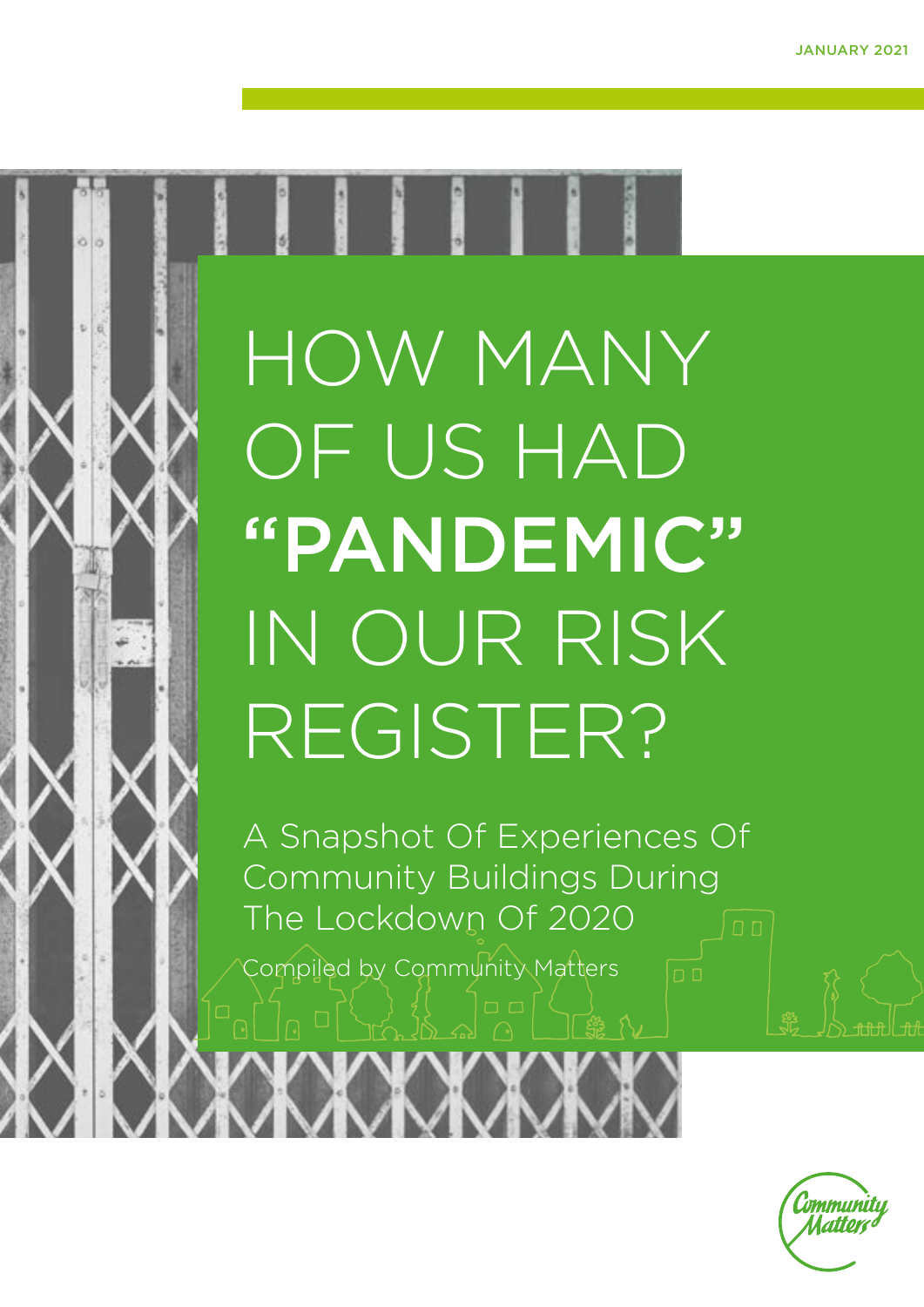

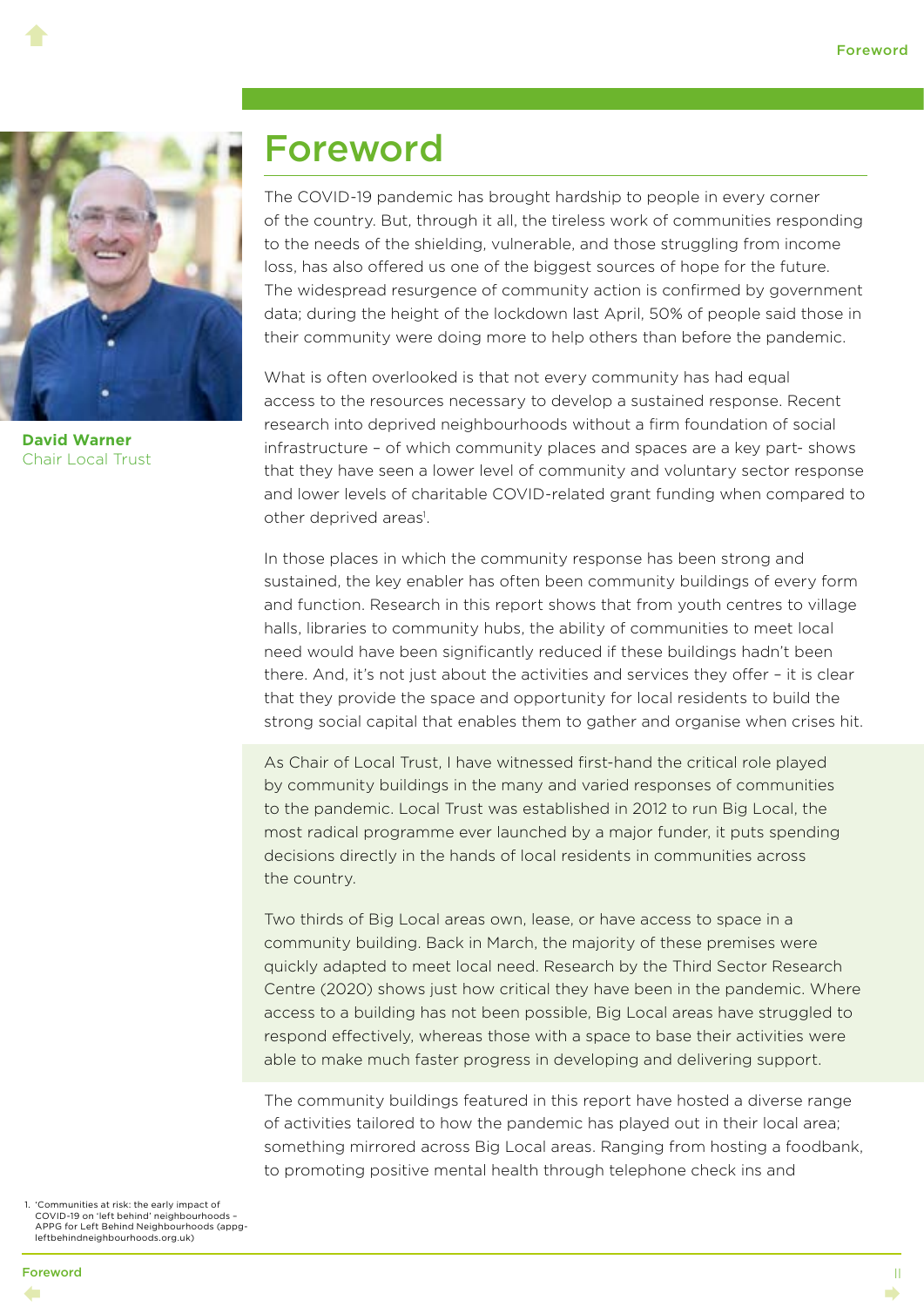

**David Warner** Chair Local Trust

 $\blacklozenge$ 

#### Foreword

The COVID-19 pandemic has brought hardship to people in every corner of the country. But, through it all, the tireless work of communities responding to the needs of the shielding, vulnerable, and those struggling from income loss, has also offered us one of the biggest sources of hope for the future. The widespread resurgence of community action is confirmed by government data; during the height of the lockdown last April, 50% of people said those in their community were doing more to help others than before the pandemic.

What is often overlooked is that not every community has had equal access to the resources necessary to develop a sustained response. Recent research into deprived neighbourhoods without a firm foundation of social infrastructure – of which community places and spaces are a key part- shows that they have seen a lower level of community and voluntary sector response and lower levels of charitable COVID-related grant funding when compared to other deprived areas<sup>1</sup>.

In those places in which the community response has been strong and sustained, the key enabler has often been community buildings of every form and function. Research in this report shows that from youth centres to village halls, libraries to community hubs, the ability of communities to meet local need would have been significantly reduced if these buildings hadn't been there. And, it's not just about the activities and services they offer – it is clear that they provide the space and opportunity for local residents to build the strong social capital that enables them to gather and organise when crises hit.

As Chair of Local Trust, I have witnessed first-hand the critical role played by community buildings in the many and varied responses of communities to the pandemic. Local Trust was established in 2012 to run Big Local, the most radical programme ever launched by a major funder, it puts spending decisions directly in the hands of local residents in communities across the country.

Two thirds of Big Local areas own, lease, or have access to space in a community building. Back in March, the majority of these premises were quickly adapted to meet local need. Research by the Third Sector Research Centre (2020) shows just how critical they have been in the pandemic. Where access to a building has not been possible, Big Local areas have struggled to respond effectively, whereas those with a space to base their activities were able to make much faster progress in developing and delivering support.

The community buildings featured in this report have hosted a diverse range of activities tailored to how the pandemic has played out in their local area; something mirrored across Big Local areas. Ranging from hosting a foodbank, to promoting positive mental health through telephone check ins and

 1. 'Communities at risk: the early impact of COVID-19 on 'left behind' neighbourhoods – APPG for Left Behind Neighbourhoods (appgleftbehindneighbourhoods.org.uk)

II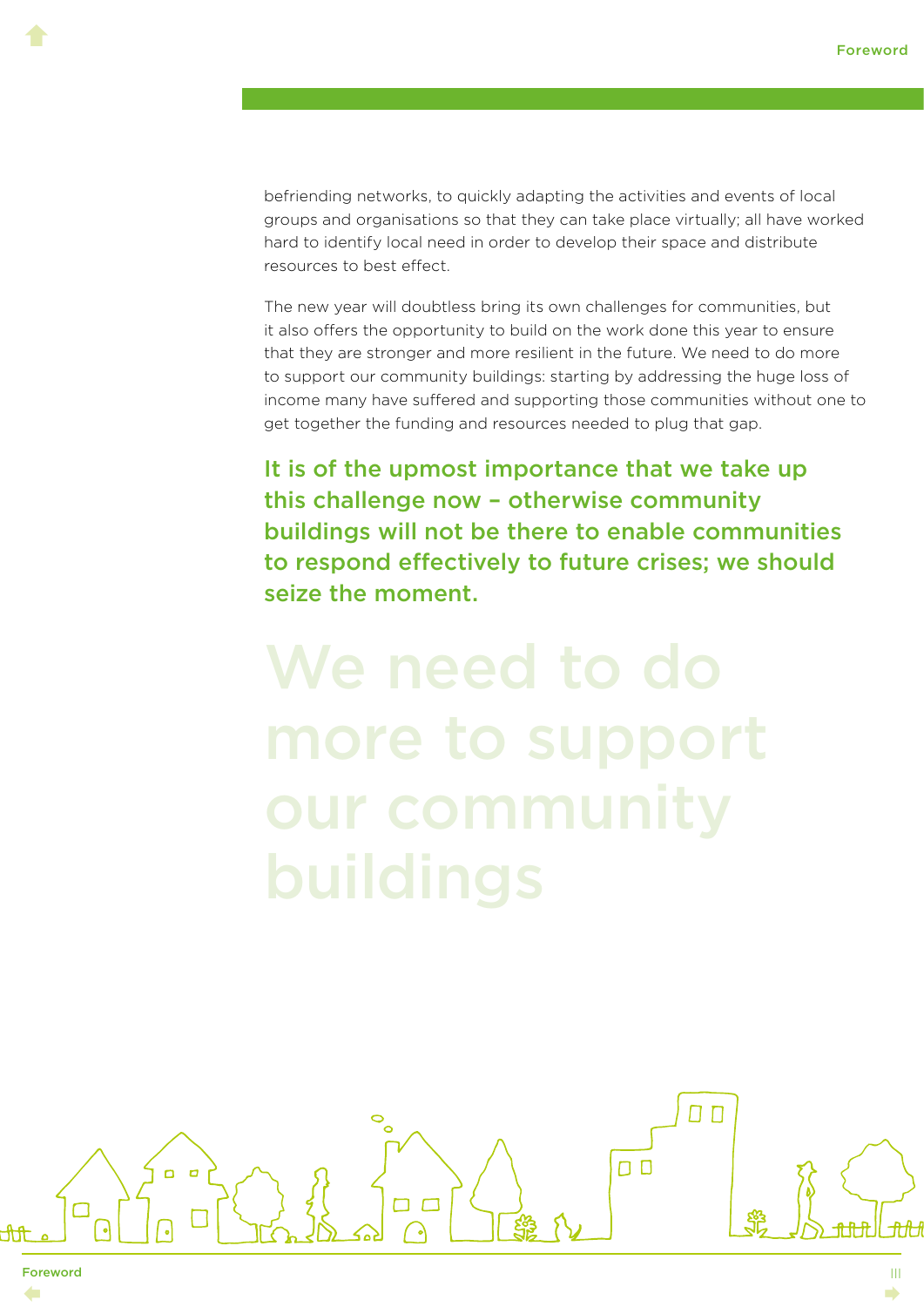befriending networks, to quickly adapting the activities and events of local groups and organisations so that they can take place virtually; all have worked hard to identify local need in order to develop their space and distribute resources to best effect.

The new year will doubtless bring its own challenges for communities, but it also offers the opportunity to build on the work done this year to ensure that they are stronger and more resilient in the future. We need to do more to support our community buildings: starting by addressing the huge loss of income many have suffered and supporting those communities without one to get together the funding and resources needed to plug that gap.

It is of the upmost importance that we take up this challenge now – otherwise community buildings will not be there to enable communities to respond effectively to future crises; we should seize the moment.



Foreword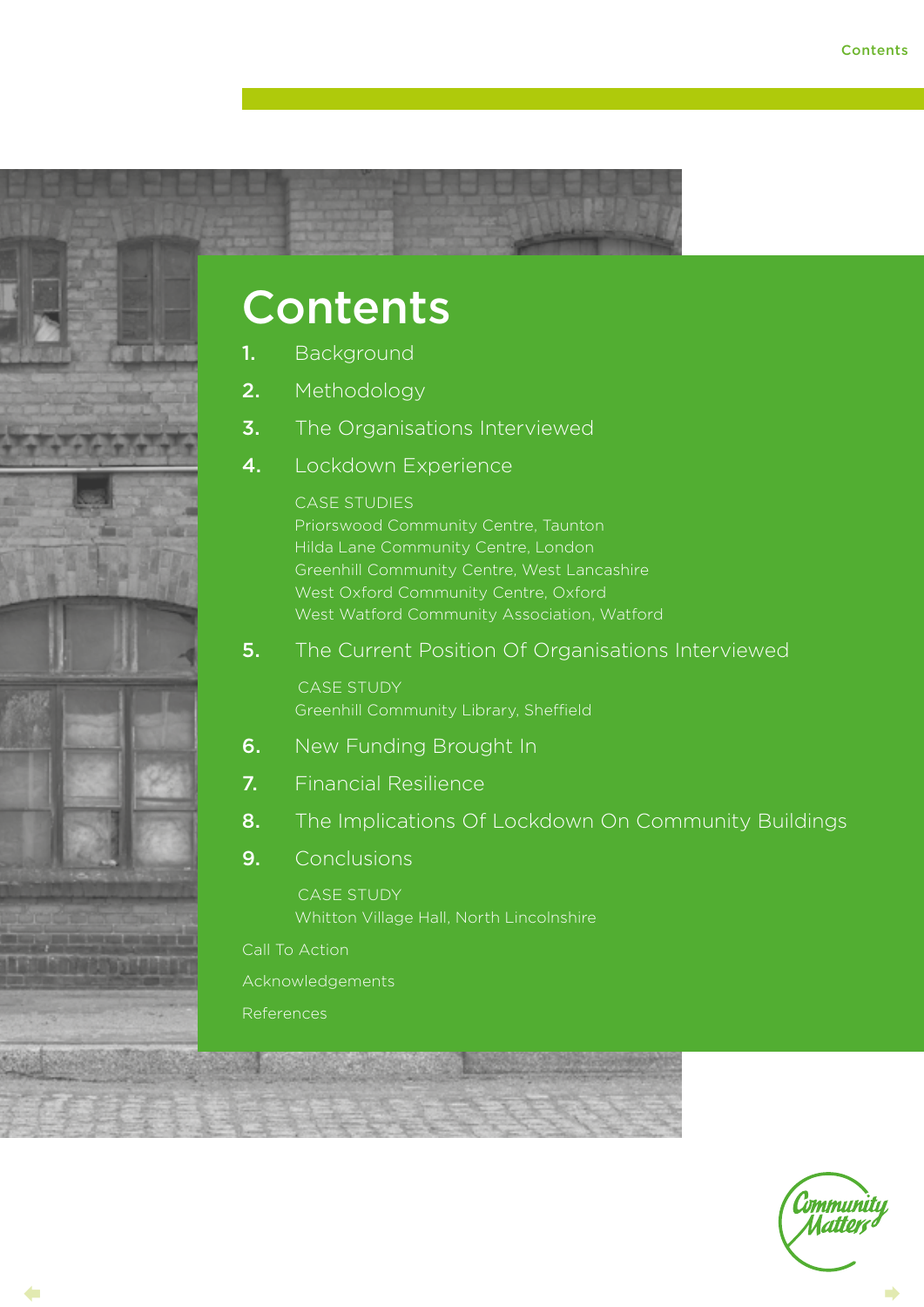<span id="page-3-0"></span>

## Contents

- 1. [Background](#page-4-0)
- 2. [Methodology](#page-9-0)
- **3.** [The Organisations Interviewed](#page-11-0)
- 4. [Lockdown Experience](#page-14-0)

#### CASE STUDIES

[Priorswood Community Centre, Taunton](#page-15-0) [Hilda Lane Community Centre, London](#page-16-0) [Greenhill Community Centre, West Lancashire](#page-18-0) [West Oxford Community Centre, Oxford](#page-19-0) [West Watford Community Association, Watford](#page-20-0)

**5.** [The Current Position Of Organisations Interviewed](#page-21-0)

CASE STUDY [Greenhill Community Library, Sheffield](#page-24-0)

- **6.** [New Funding Brought In](#page-25-0)
- 7. [Financial Resilience](#page-26-0)
- 8. [The Implications Of Lockdown On Community Buildings](#page-29-0)
- 9. [Conclusions](#page-31-0)

 CASE STUDY [Whitton Village Hall, North Lincolnshire](#page-33-0)

[Call To Action](#page-34-0)

[Acknowledgements](#page-35-0)

[References](#page-36-0)

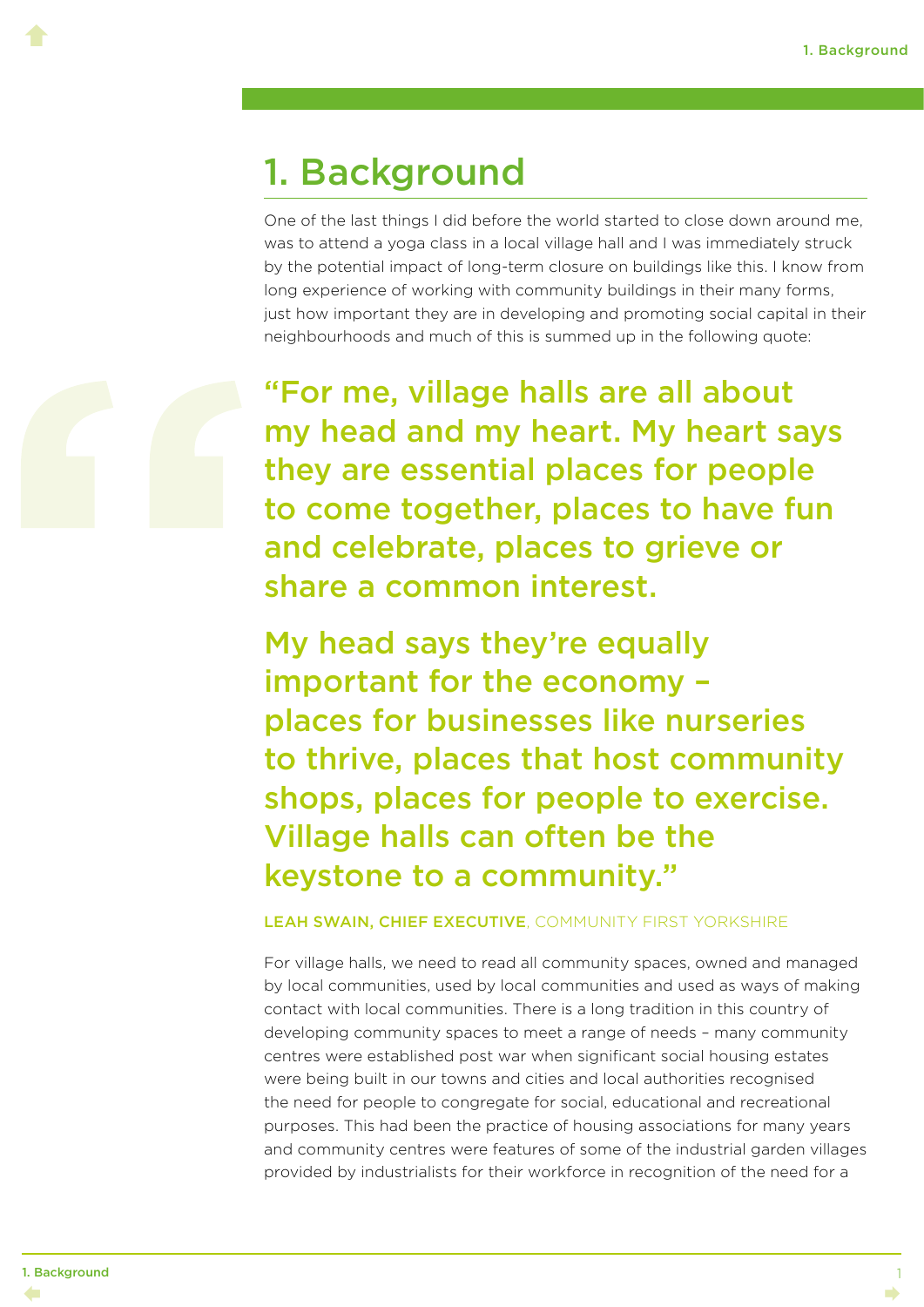### 1. Background

One of the last things I did before the world started to close down around me, was to attend a yoga class in a local village hall and I was immediately struck by the potential impact of long-term closure on buildings like this. I know from long experience of working with community buildings in their many forms, just how important they are in developing and promoting social capital in their neighbourhoods and much of this is summed up in the following quote:



<span id="page-4-0"></span> $\blacklozenge$ 

"For me, village halls are all about my head and my heart. My heart says they are essential places for people to come together, places to have fun and celebrate, places to grieve or share a common interest.

My head says they're equally important for the economy – places for businesses like nurseries to thrive, places that host community shops, places for people to exercise. Village halls can often be the keystone to a community."

#### LEAH SWAIN, CHIEF EXECUTIVE, COMMUNITY FIRST YORKSHIRE

For village halls, we need to read all community spaces, owned and managed by local communities, used by local communities and used as ways of making contact with local communities. There is a long tradition in this country of developing community spaces to meet a range of needs – many community centres were established post war when significant social housing estates were being built in our towns and cities and local authorities recognised the need for people to congregate for social, educational and recreational purposes. This had been the practice of housing associations for many years and community centres were features of some of the industrial garden villages provided by industrialists for their workforce in recognition of the need for a

1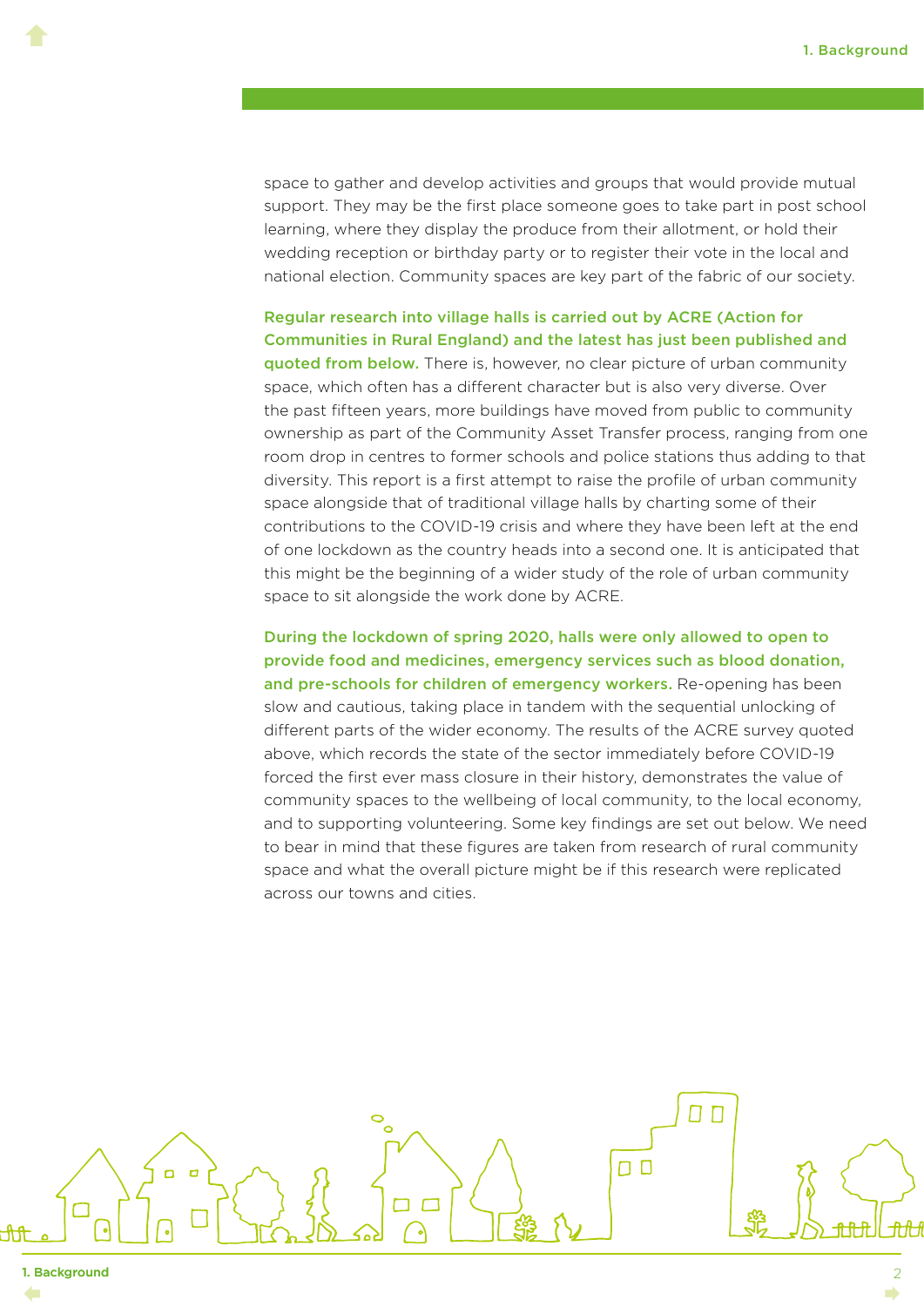space to gather and develop activities and groups that would provide mutual support. They may be the first place someone goes to take part in post school learning, where they display the produce from their allotment, or hold their wedding reception or birthday party or to register their vote in the local and national election. Community spaces are key part of the fabric of our society.

Regular research into village halls is carried out by ACRE (Action for Communities in Rural England) and the latest has just been published and quoted from below. There is, however, no clear picture of urban community space, which often has a different character but is also very diverse. Over the past fifteen years, more buildings have moved from public to community ownership as part of the Community Asset Transfer process, ranging from one room drop in centres to former schools and police stations thus adding to that diversity. This report is a first attempt to raise the profile of urban community space alongside that of traditional village halls by charting some of their contributions to the COVID-19 crisis and where they have been left at the end of one lockdown as the country heads into a second one. It is anticipated that this might be the beginning of a wider study of the role of urban community space to sit alongside the work done by ACRE.

During the lockdown of spring 2020, halls were only allowed to open to provide food and medicines, emergency services such as blood donation, and pre-schools for children of emergency workers. Re-opening has been slow and cautious, taking place in tandem with the sequential unlocking of different parts of the wider economy. The results of the ACRE survey quoted above, which records the state of the sector immediately before COVID-19 forced the first ever mass closure in their history, demonstrates the value of community spaces to the wellbeing of local community, to the local economy, and to supporting volunteering. Some key findings are set out below. We need to bear in mind that these figures are taken from research of rural community space and what the overall picture might be if this research were replicated across our towns and cities.

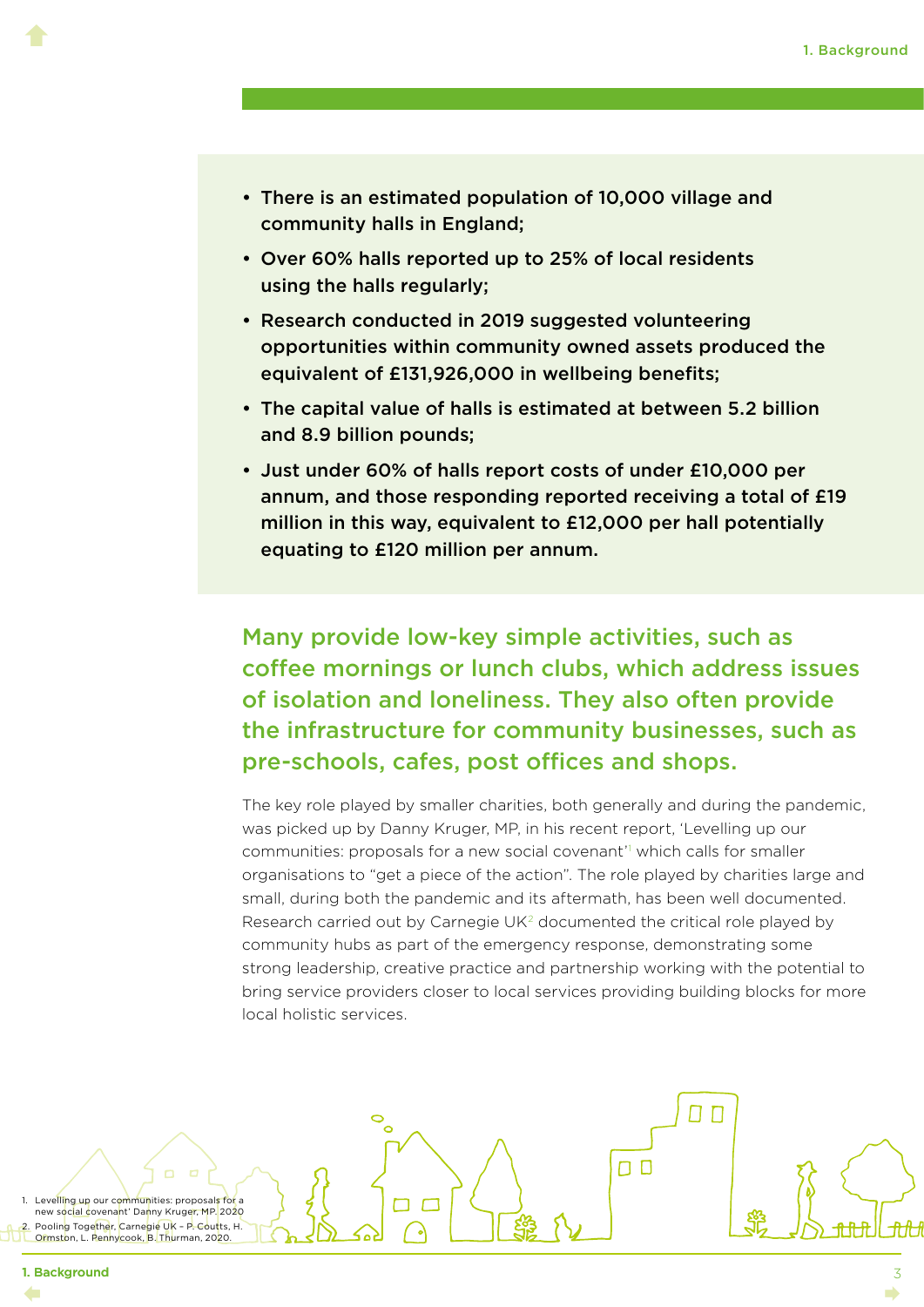- There is an estimated population of 10,000 village and community halls in England;
- Over 60% halls reported up to 25% of local residents using the halls regularly;
- Research conducted in 2019 suggested volunteering opportunities within community owned assets produced the equivalent of £131,926,000 in wellbeing benefits;
- The capital value of halls is estimated at between 5.2 billion and 8.9 billion pounds;
- Just under 60% of halls report costs of under £10,000 per annum, and those responding reported receiving a total of £19 million in this way, equivalent to £12,000 per hall potentially equating to £120 million per annum.

Many provide low-key simple activities, such as coffee mornings or lunch clubs, which address issues of isolation and loneliness. They also often provide the infrastructure for community businesses, such as pre-schools, cafes, post offices and shops.

The key role played by smaller charities, both generally and during the pandemic, was picked up by Danny Kruger, MP, in his recent report, 'Levelling up our communities: proposals for a new social covenant'l which calls for smaller organisations to "get a piece of the action". The role played by charities large and small, during both the pandemic and its aftermath, has been well documented. Research carried out by Carnegie UK<sup>2</sup> documented the critical role played by community hubs as part of the emergency response, demonstrating some strong leadership, creative practice and partnership working with the potential to bring service providers closer to local services providing building blocks for more local holistic services.

ח ח

 $\Box$ 

Levelling up our communities: proposals for a new social covenant' Danny Kruger, MP. 2020 Pooling Together, Carnegie UK - P. Coutts, H. Ormston, L. Pennycook, B. Thurman, 2020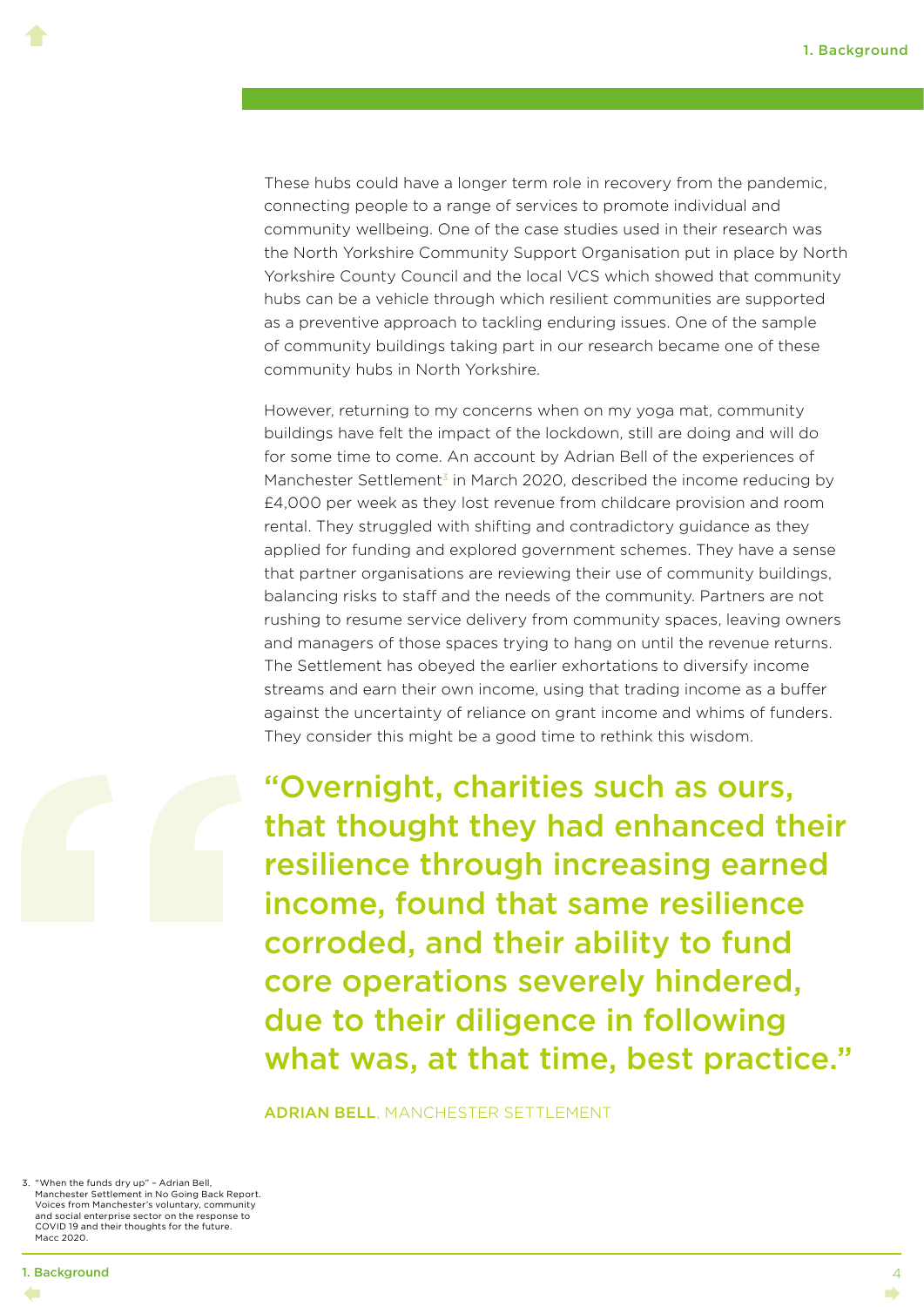These hubs could have a longer term role in recovery from the pandemic, connecting people to a range of services to promote individual and community wellbeing. One of the case studies used in their research was the North Yorkshire Community Support Organisation put in place by North Yorkshire County Council and the local VCS which showed that community hubs can be a vehicle through which resilient communities are supported as a preventive approach to tackling enduring issues. One of the sample of community buildings taking part in our research became one of these community hubs in North Yorkshire.

However, returning to my concerns when on my yoga mat, community buildings have felt the impact of the lockdown, still are doing and will do for some time to come. An account by Adrian Bell of the experiences of Manchester Settlement<sup>3</sup> in March 2020, described the income reducing by £4,000 per week as they lost revenue from childcare provision and room rental. They struggled with shifting and contradictory guidance as they applied for funding and explored government schemes. They have a sense that partner organisations are reviewing their use of community buildings, balancing risks to staff and the needs of the community. Partners are not rushing to resume service delivery from community spaces, leaving owners and managers of those spaces trying to hang on until the revenue returns. The Settlement has obeyed the earlier exhortations to diversify income streams and earn their own income, using that trading income as a buffer against the uncertainty of reliance on grant income and whims of funders. They consider this might be a good time to rethink this wisdom.



 $\blacklozenge$ 

"Overnight, charities such as ours, that thought they had enhanced their resilience through increasing earned income, found that same resilience corroded, and their ability to fund core operations severely hindered, due to their diligence in following what was, at that time, best practice."

ADRIAN BELL, MANCHESTER SETTLEMENT

3. "When the funds dry up" – Adrian Bell, Manchester Settlement in No Going Back Report. Voices from Manchester's voluntary, community and social enterprise sector on the response to COVID 19 and their thoughts for the future. Macc 2020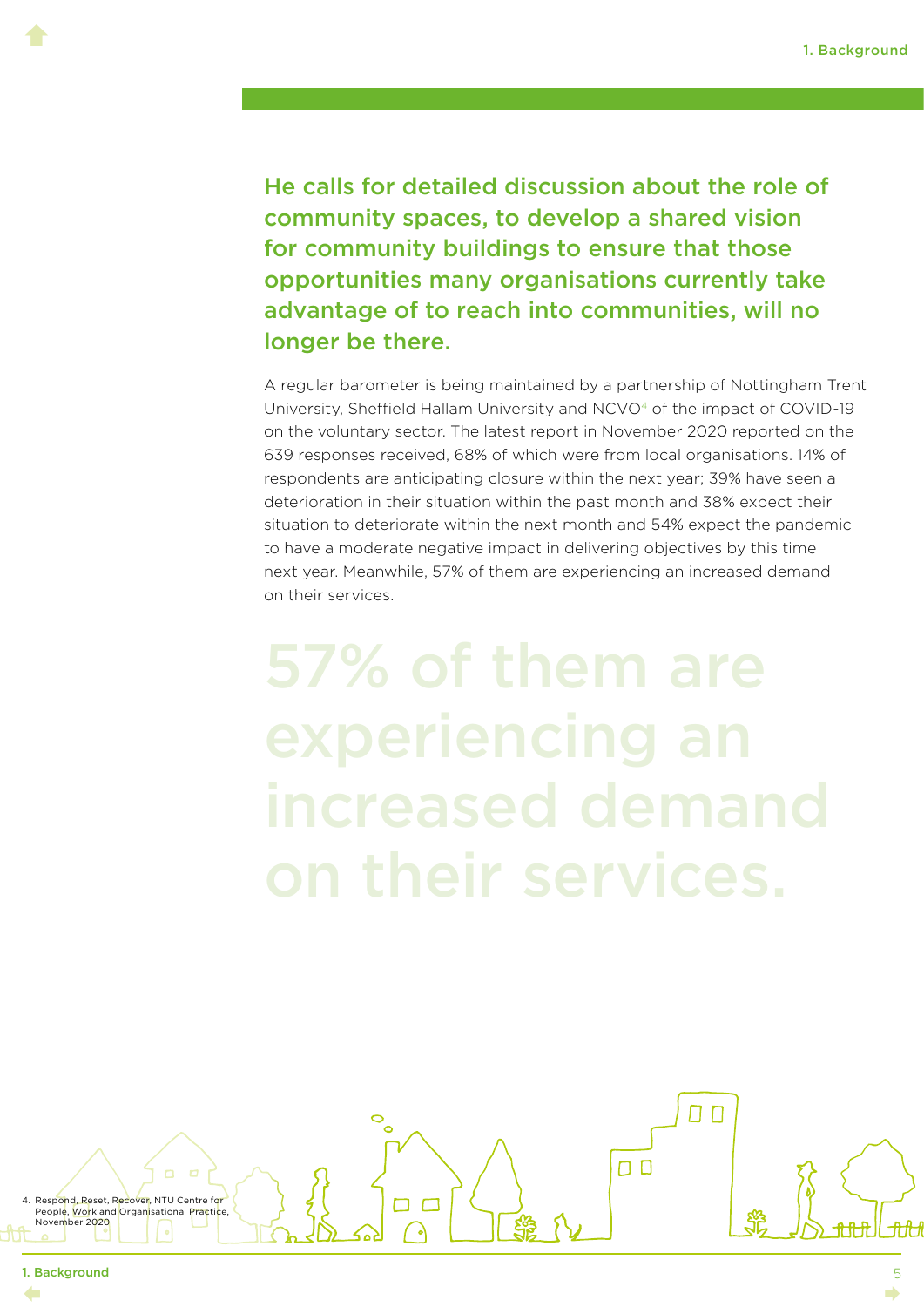He calls for detailed discussion about the role of community spaces, to develop a shared vision for community buildings to ensure that those opportunities many organisations currently take advantage of to reach into communities, will no longer be there.

A regular barometer is being maintained by a partnership of Nottingham Trent University, Sheffield Hallam University and NCVO4 of the impact of COVID-19 on the voluntary sector. The latest report in November 2020 reported on the 639 responses received, 68% of which were from local organisations. 14% of respondents are anticipating closure within the next year; 39% have seen a deterioration in their situation within the past month and 38% expect their situation to deteriorate within the next month and 54% expect the pandemic to have a moderate negative impact in delivering objectives by this time next year. Meanwhile, 57% of them are experiencing an increased demand on their services.

57% of them are experiencing an

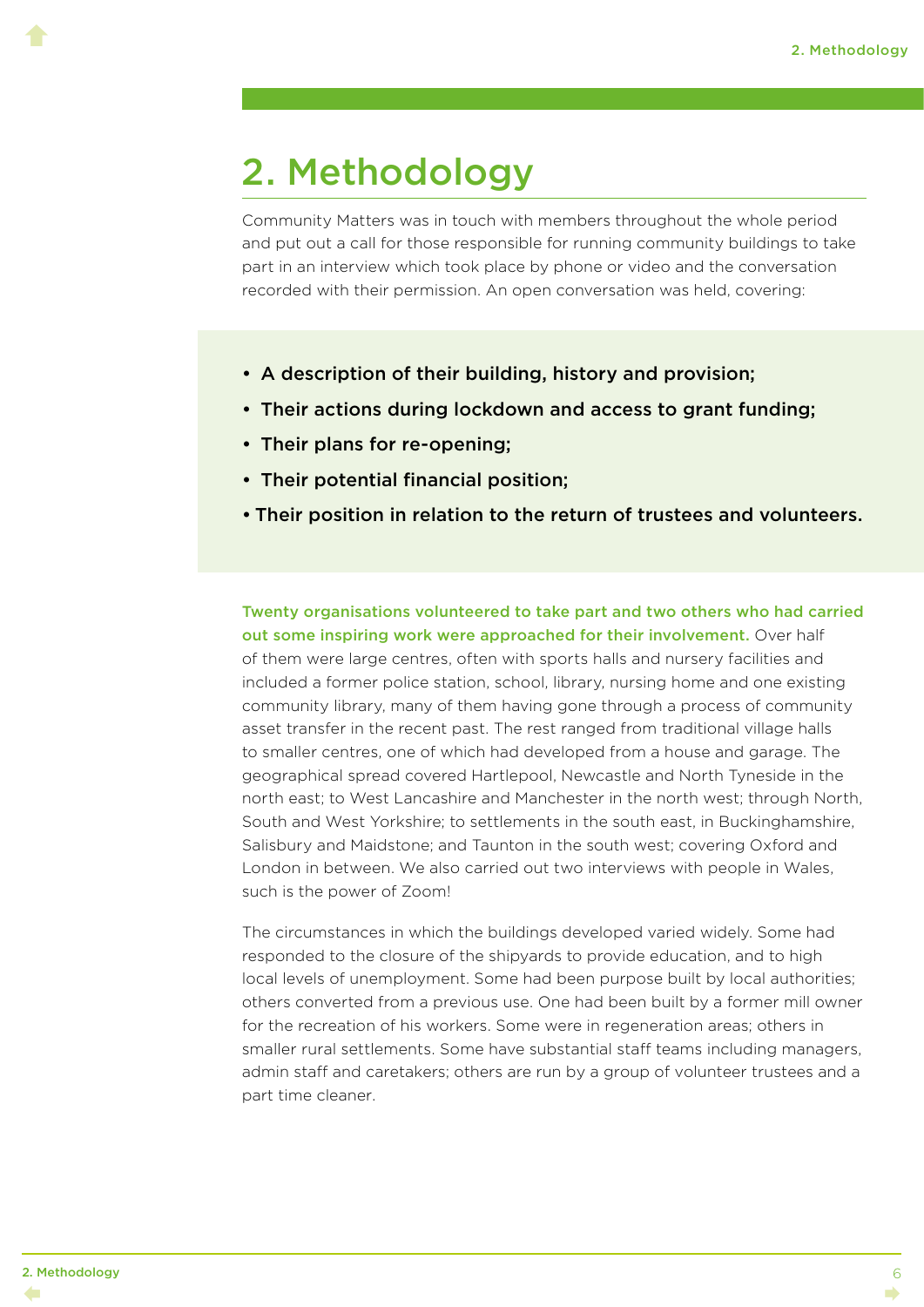### <span id="page-9-0"></span>2. Methodology

Community Matters was in touch with members throughout the whole period and put out a call for those responsible for running community buildings to take part in an interview which took place by phone or video and the conversation recorded with their permission. An open conversation was held, covering:

- A description of their building, history and provision;
- Their actions during lockdown and access to grant funding;
- Their plans for re-opening;
- Their potential financial position;
- Their position in relation to the return of trustees and volunteers.

Twenty organisations volunteered to take part and two others who had carried out some inspiring work were approached for their involvement. Over half of them were large centres, often with sports halls and nursery facilities and included a former police station, school, library, nursing home and one existing community library, many of them having gone through a process of community asset transfer in the recent past. The rest ranged from traditional village halls to smaller centres, one of which had developed from a house and garage. The geographical spread covered Hartlepool, Newcastle and North Tyneside in the north east; to West Lancashire and Manchester in the north west; through North, South and West Yorkshire; to settlements in the south east, in Buckinghamshire, Salisbury and Maidstone; and Taunton in the south west; covering Oxford and London in between. We also carried out two interviews with people in Wales, such is the power of Zoom!

The circumstances in which the buildings developed varied widely. Some had responded to the closure of the shipyards to provide education, and to high local levels of unemployment. Some had been purpose built by local authorities; others converted from a previous use. One had been built by a former mill owner for the recreation of his workers. Some were in regeneration areas; others in smaller rural settlements. Some have substantial staff teams including managers, admin staff and caretakers; others are run by a group of volunteer trustees and a part time cleaner.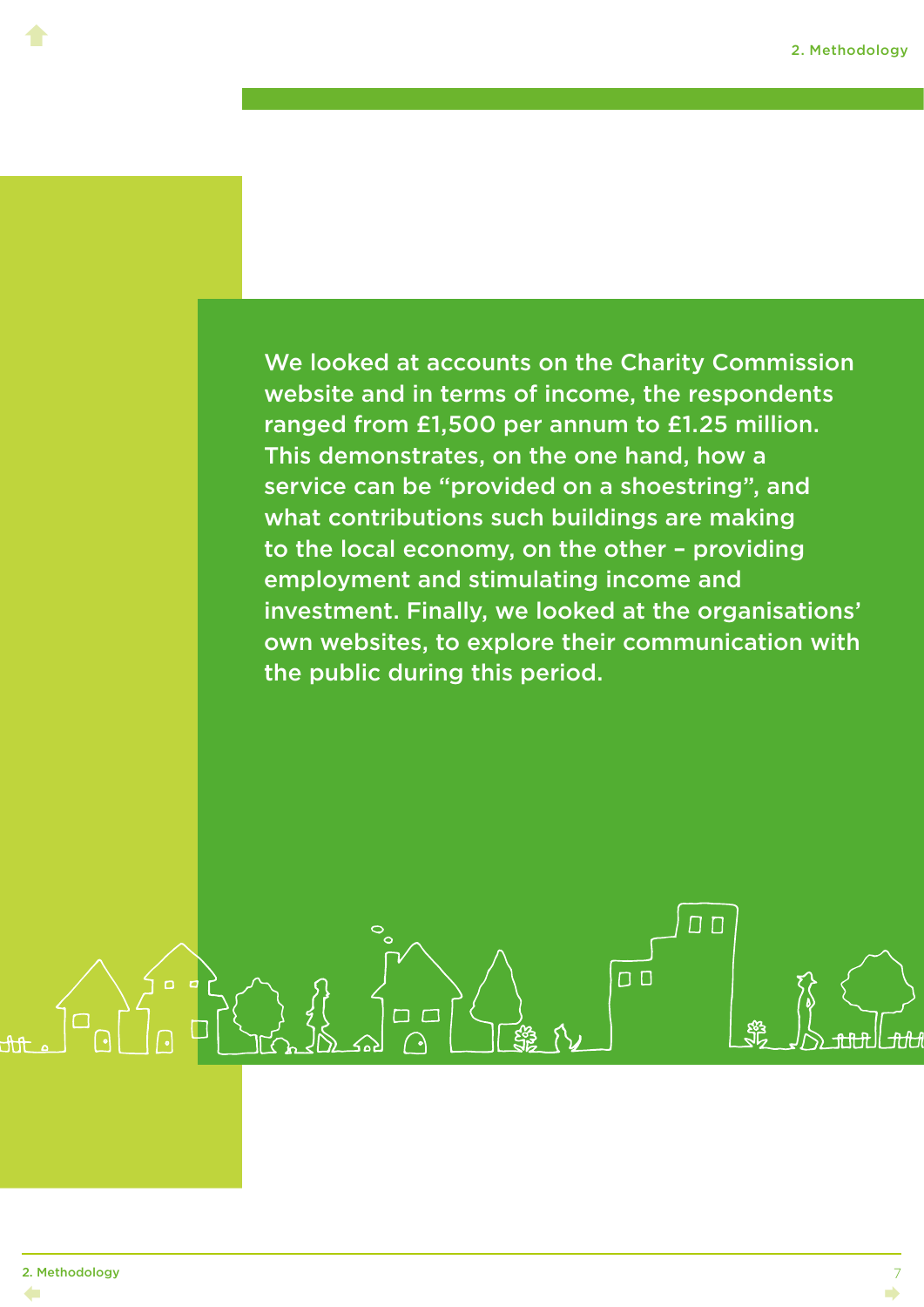We looked at accounts on the Charity Commission website and in terms of income, the respondents ranged from £1,500 per annum to £1.25 million. This demonstrates, on the one hand, how a service can be "provided on a shoestring", and what contributions such buildings are making to the local economy, on the other – providing employment and stimulating income and investment. Finally, we looked at the organisations' own websites, to explore their communication with the public during this period.

 $\Box$ 

 $\Box$ 

רו ר

 $\blacklozenge$ 

7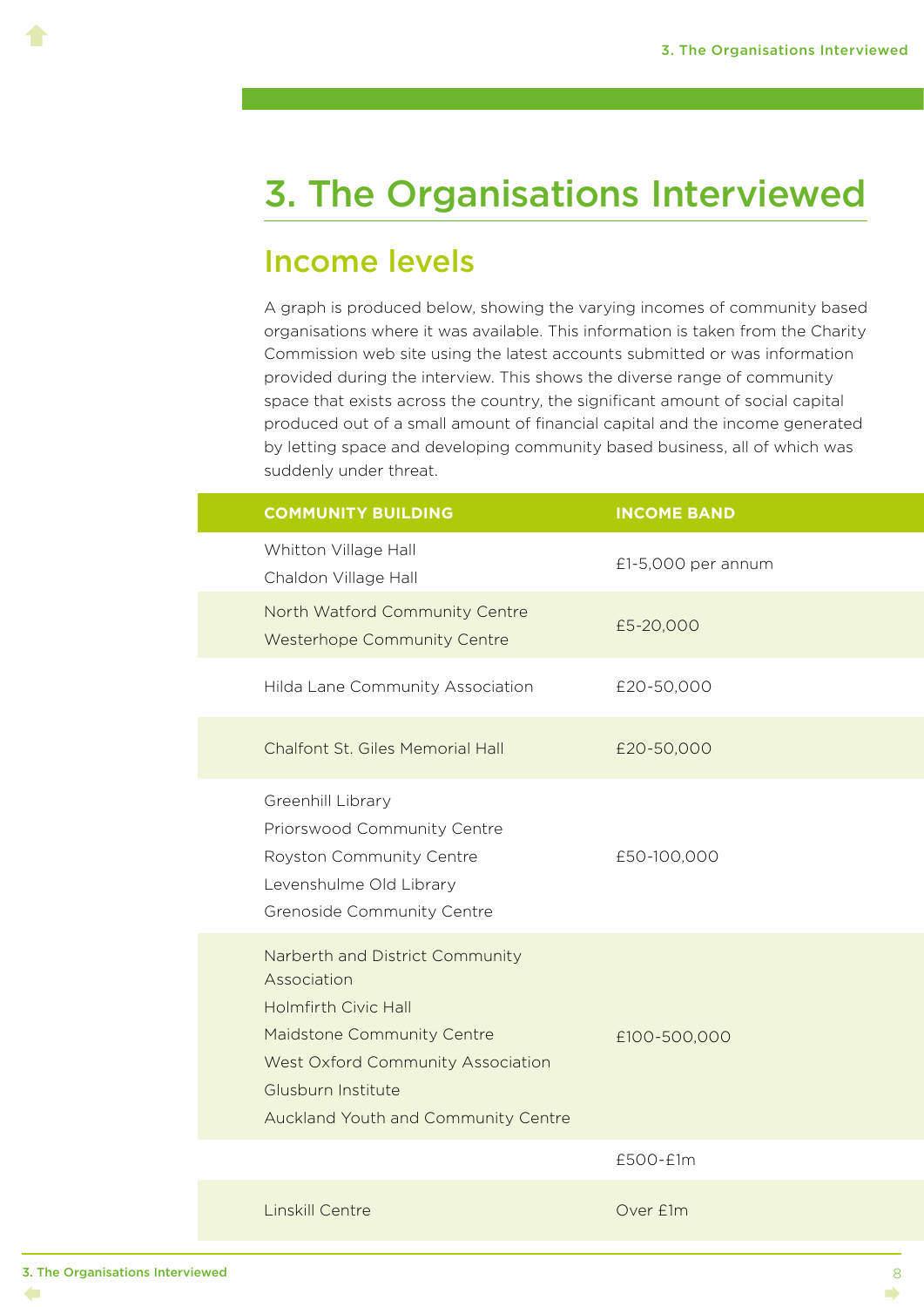### <span id="page-11-0"></span>3. The Organisations Interviewed

#### Income levels

A graph is produced below, showing the varying incomes of community based organisations where it was available. This information is taken from the Charity Commission web site using the latest accounts submitted or was information provided during the interview. This shows the diverse range of community space that exists across the country, the significant amount of social capital produced out of a small amount of financial capital and the income generated by letting space and developing community based business, all of which was suddenly under threat.

| <b>COMMUNITY BUILDING</b>                                                                                                                                                                                     | <b>INCOME BAND</b> |
|---------------------------------------------------------------------------------------------------------------------------------------------------------------------------------------------------------------|--------------------|
| Whitton Village Hall<br>Chaldon Village Hall                                                                                                                                                                  | £1-5,000 per annum |
| North Watford Community Centre<br><b>Westerhope Community Centre</b>                                                                                                                                          | £5-20,000          |
| Hilda Lane Community Association                                                                                                                                                                              | £20-50,000         |
| Chalfont St. Giles Memorial Hall                                                                                                                                                                              | £20-50,000         |
| Greenhill Library<br>Priorswood Community Centre<br>Royston Community Centre<br>Levenshulme Old Library<br>Grenoside Community Centre                                                                         | £50-100,000        |
| Narberth and District Community<br>Association<br><b>Holmfirth Civic Hall</b><br>Maidstone Community Centre<br>West Oxford Community Association<br>Glusburn Institute<br>Auckland Youth and Community Centre | £100-500,000       |
|                                                                                                                                                                                                               | £500-£1m           |
|                                                                                                                                                                                                               |                    |

Linskill Centre **Canadian Cover E1m**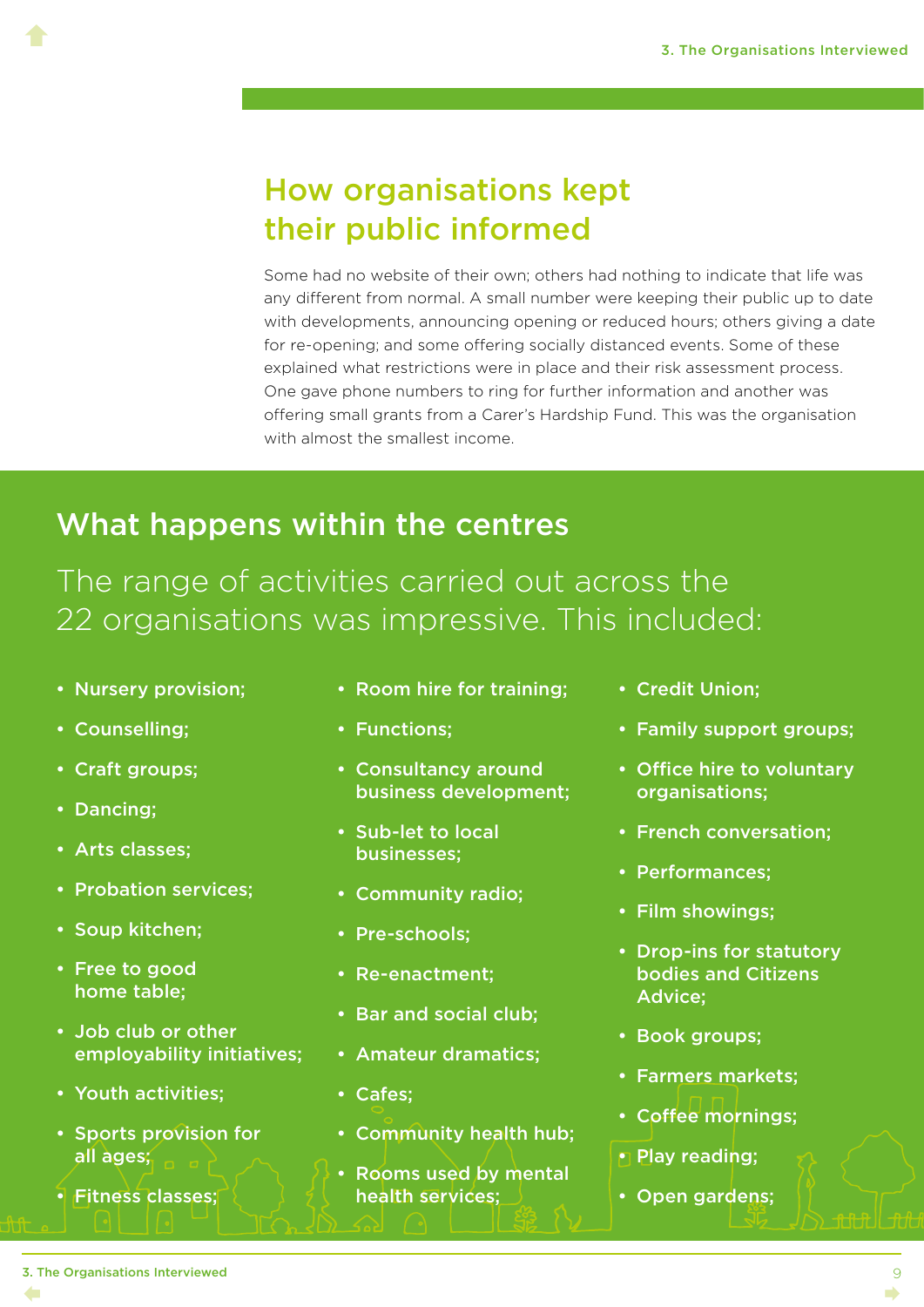#### How organisations kept their public informed

Some had no website of their own; others had nothing to indicate that life was any different from normal. A small number were keeping their public up to date with developments, announcing opening or reduced hours; others giving a date for re-opening; and some offering socially distanced events. Some of these explained what restrictions were in place and their risk assessment process. One gave phone numbers to ring for further information and another was offering small grants from a Carer's Hardship Fund. This was the organisation with almost the smallest income.

#### What happens within the centres

The range of activities carried out across the 22 organisations was impressive. This included:

- Nursery provision;
- Counselling;

- Craft groups;
- Dancing;
- Arts classes;
- Probation services;
- Soup kitchen;
- Free to good home table;
- Job club or other employability initiatives;
- Youth activities;
- Sports provision for all ages;
- Fitness classes;
- Room hire for training;
- Functions;
- Consultancy around business development;
- Sub-let to local businesses;
- Community radio;
- Pre-schools;
- Re-enactment;
- Bar and social club;
- Amateur dramatics;
- Cafes;
- Community health hub;
- Rooms used by mental health services;
- Credit Union;
- Family support groups;
- Office hire to voluntary organisations;
- French conversation;
- Performances;
- Film showings;
- Drop-ins for statutory bodies and Citizens Advice;
- Book groups;
- Farmers markets;
- Coffee mornings;
- Play reading;
- Open gardens;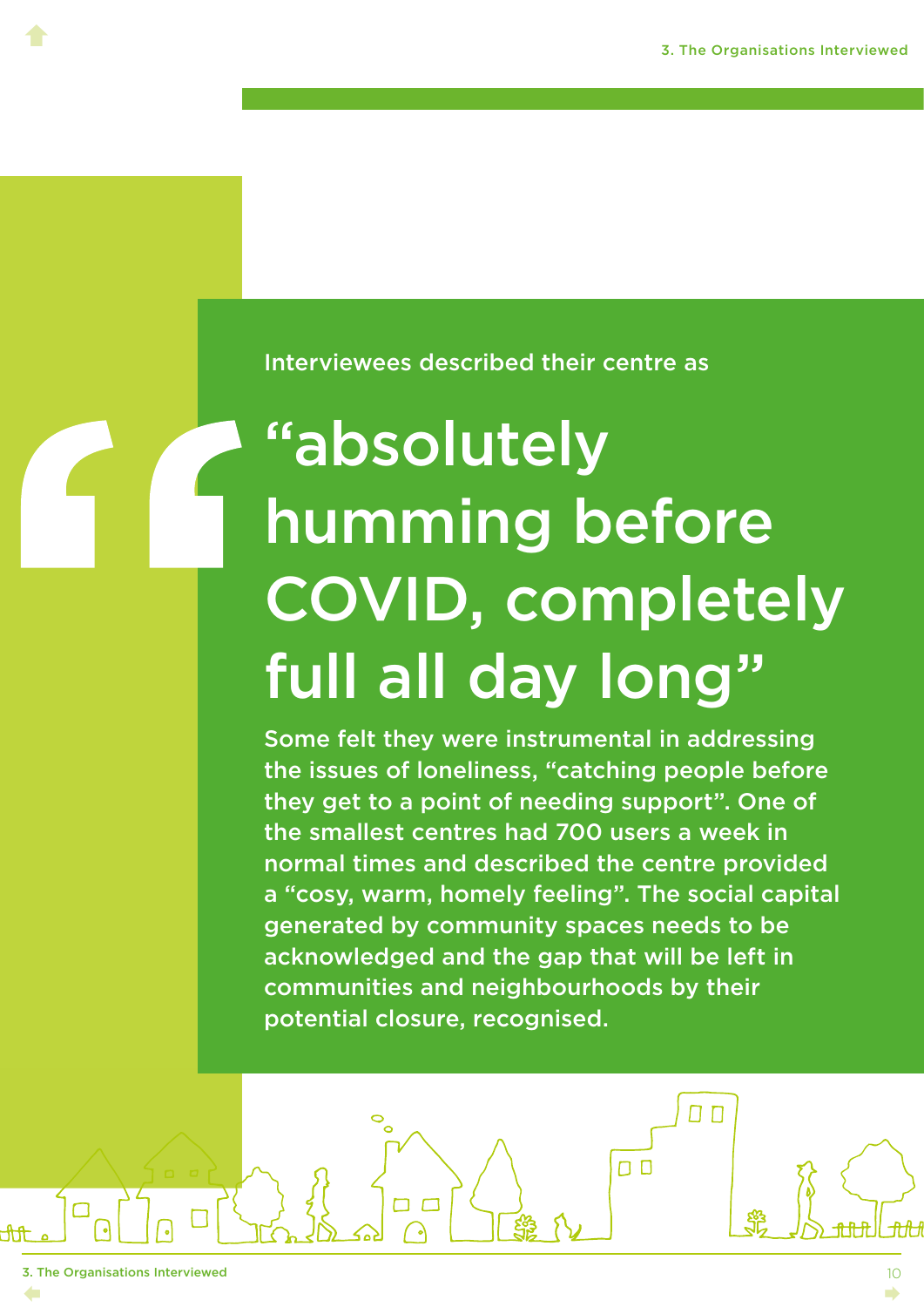Interviewees described their centre as

# "absolutely humming before COVID, completely full all day long"

Some felt they were instrumental in addressing the issues of loneliness, "catching people before they get to a point of needing support". One of the smallest centres had 700 users a week in normal times and described the centre provided a "cosy, warm, homely feeling". The social capital generated by community spaces needs to be acknowledged and the gap that will be left in communities and neighbourhoods by their potential closure, recognised.

ח ח

 $\Box$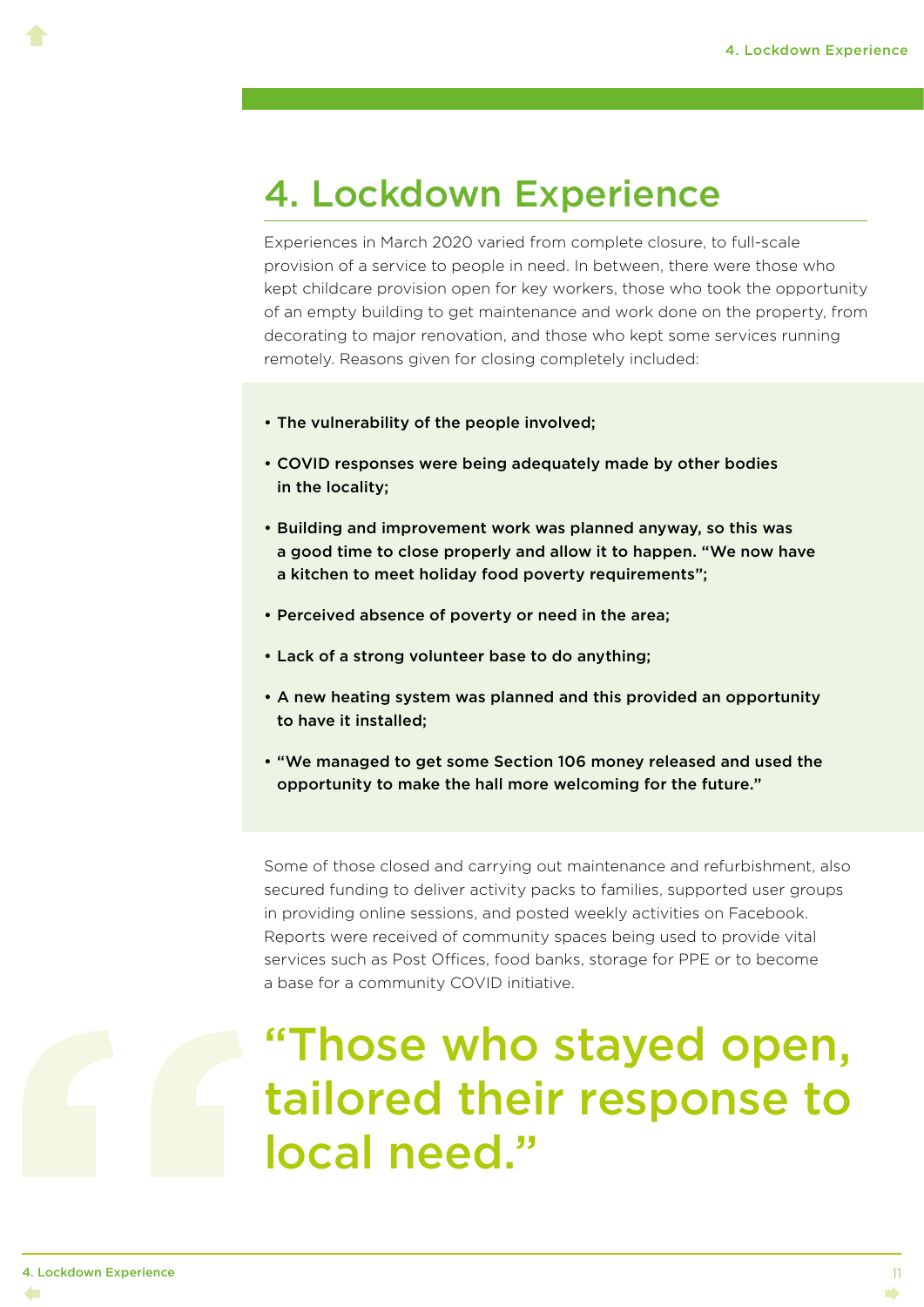### <span id="page-14-0"></span>4. Lockdown Experience

Experiences in March 2020 varied from complete closure, to full-scale provision of a service to people in need. In between, there were those who kept childcare provision open for key workers, those who took the opportunity of an empty building to get maintenance and work done on the property, from decorating to major renovation, and those who kept some services running remotely. Reasons given for closing completely included:

- The vulnerability of the people involved;
- COVID responses were being adequately made by other bodies in the locality;
- Building and improvement work was planned anyway, so this was a good time to close properly and allow it to happen. "We now have a kitchen to meet holiday food poverty requirements":
- Perceived absence of poverty or need in the area;
- Lack of a strong volunteer base to do anything;
- A new heating system was planned and this provided an opportunity to have it installed;
- "We managed to get some Section 106 money released and used the opportunity to make the hall more welcoming for the future."

Some of those closed and carrying out maintenance and refurbishment, also secured funding to deliver activity packs to families, supported user groups in providing online sessions, and posted weekly activities on Facebook. Reports were received of community spaces being used to provide vital services such as Post Offices, food banks, storage for PPE or to become a base for a community COVID initiative.

## "Those who stayed open, tailored their response to local need."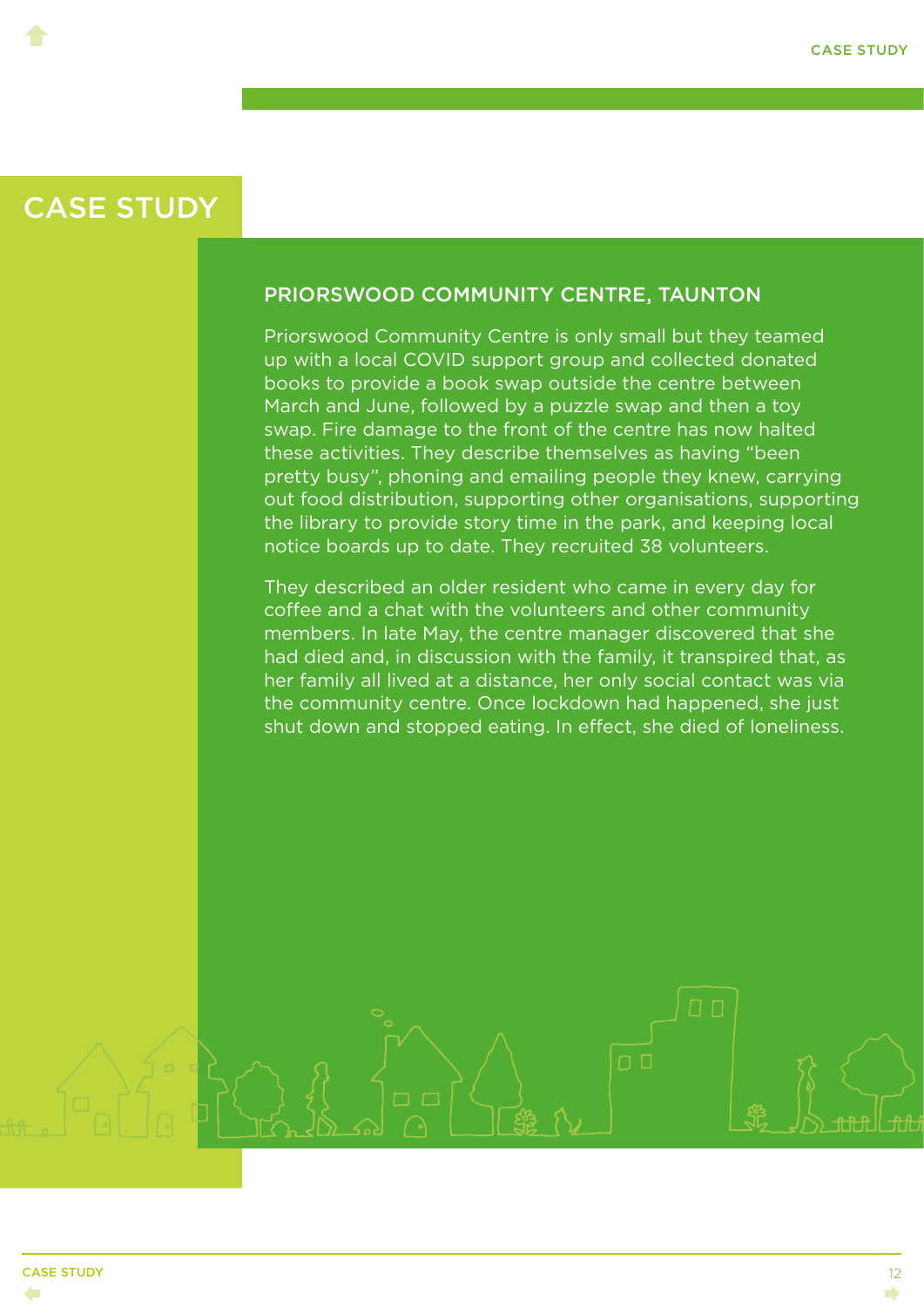<span id="page-15-0"></span> $\blacklozenge$ 

#### PRIORSWOOD COMMUNITY CENTRE, TAUNTON

Priorswood Community Centre is only small but they teamed up with a local COVID support group and collected donated books to provide a book swap outside the centre between March and June, followed by a puzzle swap and then a toy swap. Fire damage to the front of the centre has now halted these activities. They describe themselves as having "been pretty busy", phoning and emailing people they knew, carrying out food distribution, supporting other organisations, supporting the library to provide story time in the park, and keeping local notice boards up to date. They recruited 38 volunteers.

They described an older resident who came in every day for coffee and a chat with the volunteers and other community members. In late May, the centre manager discovered that she had died and, in discussion with the family, it transpired that, as her family all lived at a distance, her only social contact was via the community centre. Once lockdown had happened, she just shut down and stopped eating. In effect, she died of loneliness.

 $\Box$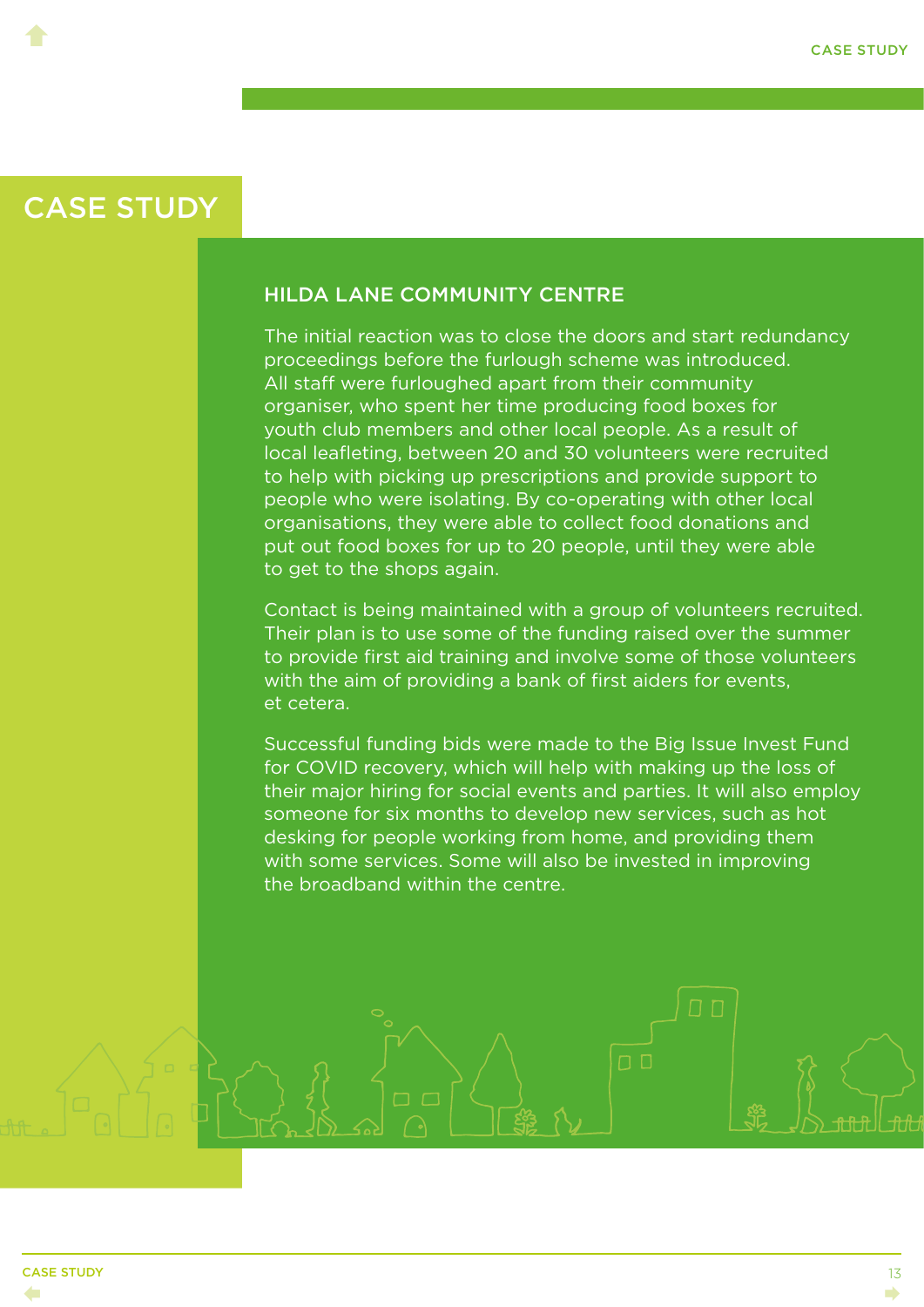<span id="page-16-0"></span> $\blacklozenge$ 

#### HILDA LANE COMMUNITY CENTRE

The initial reaction was to close the doors and start redundancy proceedings before the furlough scheme was introduced. All staff were furloughed apart from their community organiser, who spent her time producing food boxes for youth club members and other local people. As a result of local leafleting, between 20 and 30 volunteers were recruited to help with picking up prescriptions and provide support to people who were isolating. By co-operating with other local organisations, they were able to collect food donations and put out food boxes for up to 20 people, until they were able to get to the shops again.

Contact is being maintained with a group of volunteers recruited. Their plan is to use some of the funding raised over the summer to provide first aid training and involve some of those volunteers with the aim of providing a bank of first aiders for events, et cetera.

Successful funding bids were made to the Big Issue Invest Fund for COVID recovery, which will help with making up the loss of their major hiring for social events and parties. It will also employ someone for six months to develop new services, such as hot desking for people working from home, and providing them with some services. Some will also be invested in improving the broadband within the centre.

 $\Box$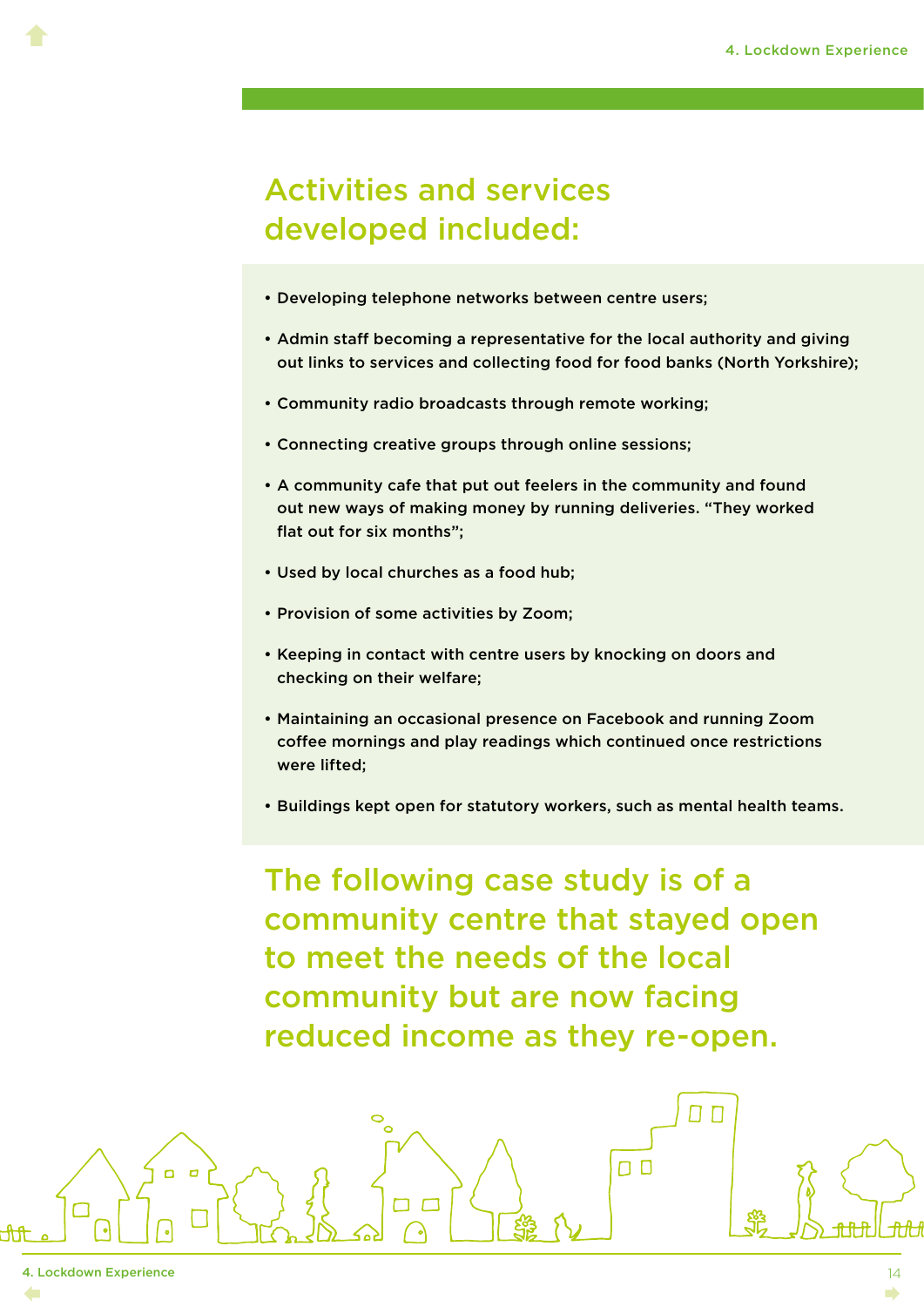#### Activities and services developed included:

- Developing telephone networks between centre users;
- Admin staff becoming a representative for the local authority and giving out links to services and collecting food for food banks (North Yorkshire);
- Community radio broadcasts through remote working;
- Connecting creative groups through online sessions;
- A community cafe that put out feelers in the community and found out new ways of making money by running deliveries. "They worked flat out for six months";
- Used by local churches as a food hub;
- Provision of some activities by Zoom;

 $\overline{C}$ 

- Keeping in contact with centre users by knocking on doors and checking on their welfare;
- Maintaining an occasional presence on Facebook and running Zoom coffee mornings and play readings which continued once restrictions were lifted;
- Buildings kept open for statutory workers, such as mental health teams.

The following case study is of a community centre that stayed open to meet the needs of the local community but are now facing reduced income as they re-open.

ח ח

 $\Box$ 

 $\blacklozenge$ 

 $14$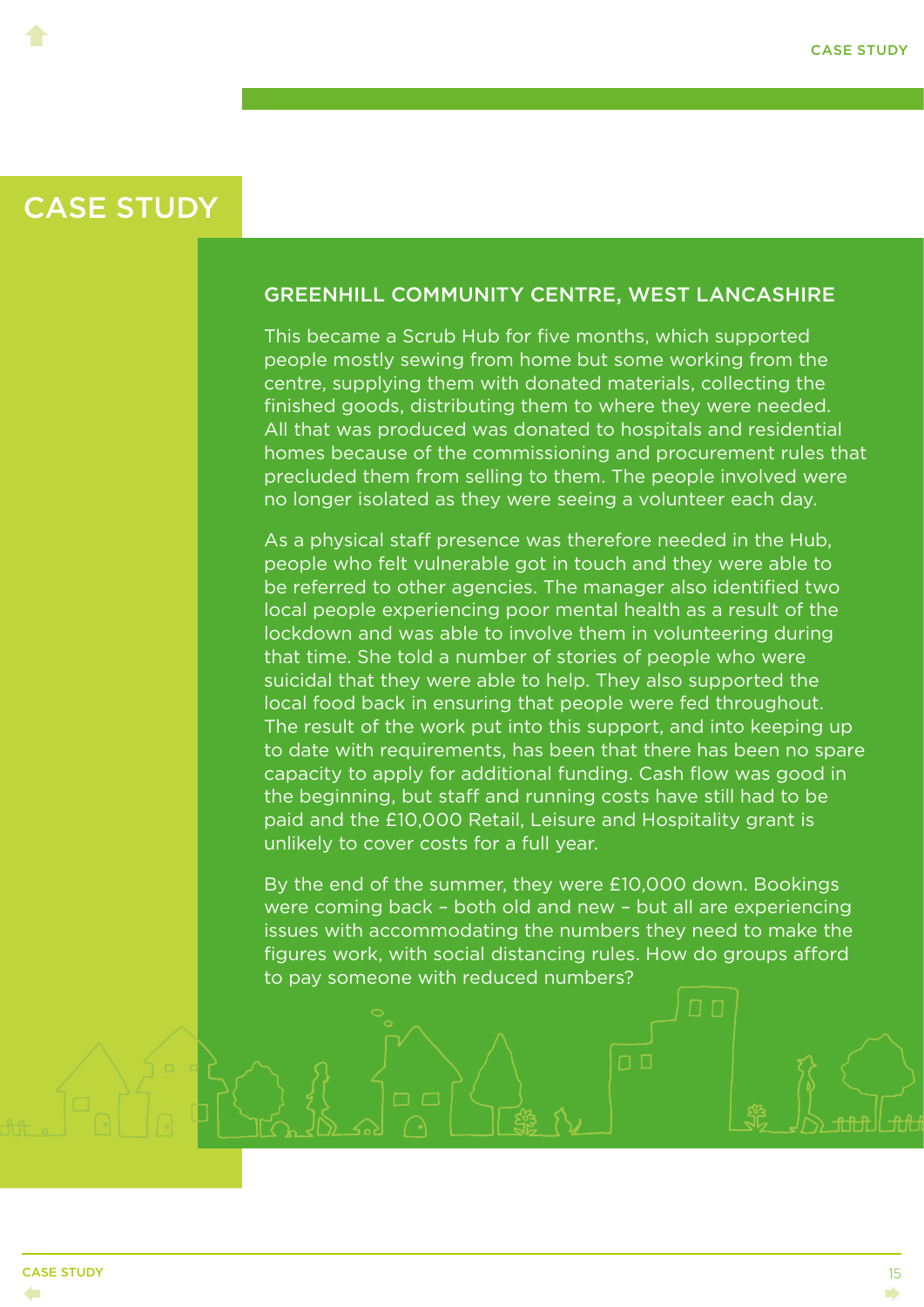<span id="page-18-0"></span> $\blacklozenge$ 

#### GREENHILL COMMUNITY CENTRE, WEST LANCASHIRE

This became a Scrub Hub for five months, which supported people mostly sewing from home but some working from the centre, supplying them with donated materials, collecting the finished goods, distributing them to where they were needed. All that was produced was donated to hospitals and residential homes because of the commissioning and procurement rules that precluded them from selling to them. The people involved were no longer isolated as they were seeing a volunteer each day.

As a physical staff presence was therefore needed in the Hub, people who felt vulnerable got in touch and they were able to be referred to other agencies. The manager also identified two local people experiencing poor mental health as a result of the lockdown and was able to involve them in volunteering during that time. She told a number of stories of people who were suicidal that they were able to help. They also supported the local food back in ensuring that people were fed throughout. The result of the work put into this support, and into keeping up to date with requirements, has been that there has been no spare capacity to apply for additional funding. Cash flow was good in the beginning, but staff and running costs have still had to be paid and the £10,000 Retail, Leisure and Hospitality grant is unlikely to cover costs for a full year.

By the end of the summer, they were £10,000 down. Bookings were coming back – both old and new – but all are experiencing issues with accommodating the numbers they need to make the figures work, with social distancing rules. How do groups afford to pay someone with reduced numbers?

 $\Box$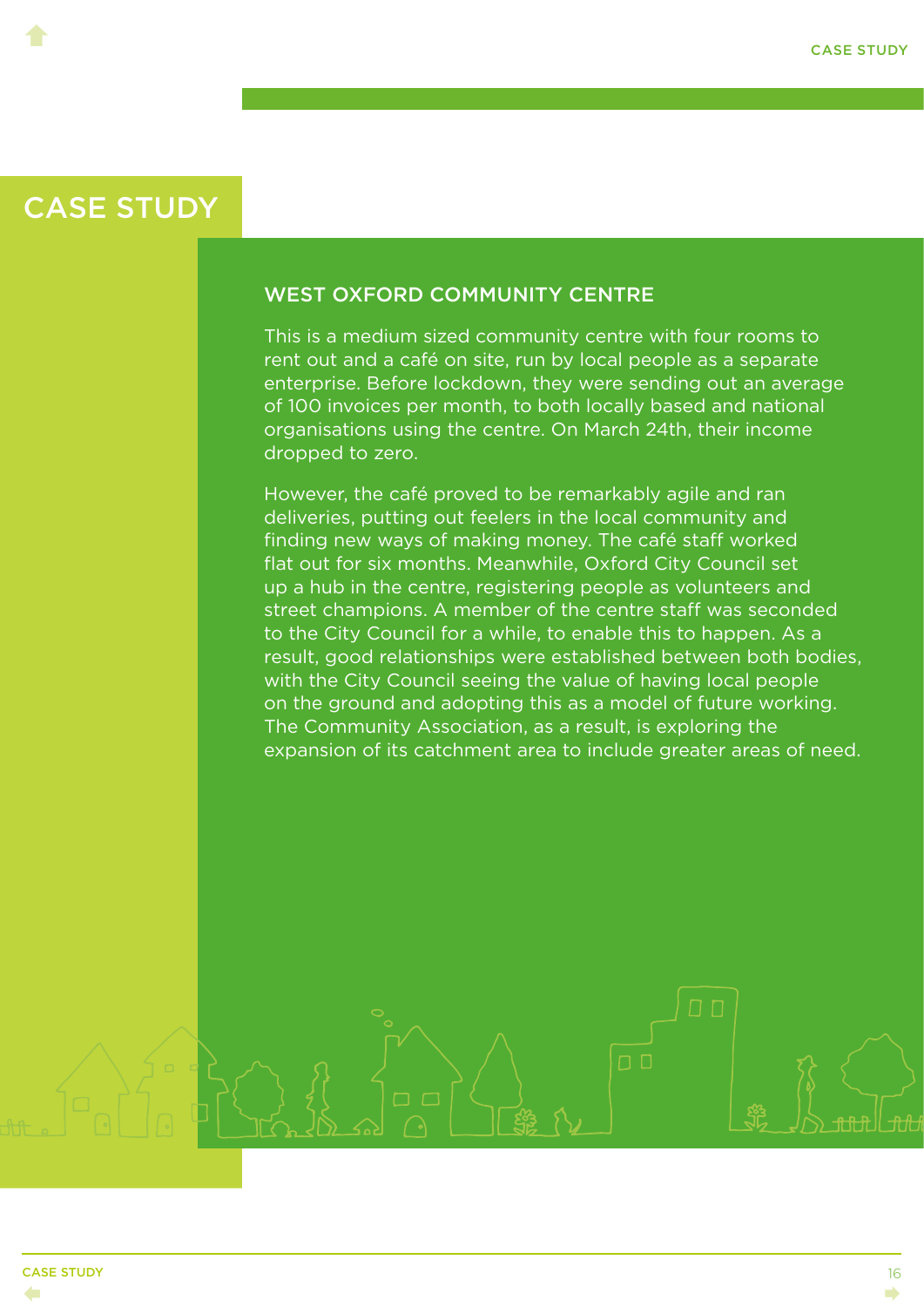<span id="page-19-0"></span> $\blacklozenge$ 

#### WEST OXFORD COMMUNITY CENTRE

This is a medium sized community centre with four rooms to rent out and a café on site, run by local people as a separate enterprise. Before lockdown, they were sending out an average of 100 invoices per month, to both locally based and national organisations using the centre. On March 24th, their income dropped to zero.

However, the café proved to be remarkably agile and ran deliveries, putting out feelers in the local community and finding new ways of making money. The café staff worked flat out for six months. Meanwhile, Oxford City Council set up a hub in the centre, registering people as volunteers and street champions. A member of the centre staff was seconded to the City Council for a while, to enable this to happen. As a result, good relationships were established between both bodies, with the City Council seeing the value of having local people on the ground and adopting this as a model of future working. The Community Association, as a result, is exploring the expansion of its catchment area to include greater areas of need.

 $\Box$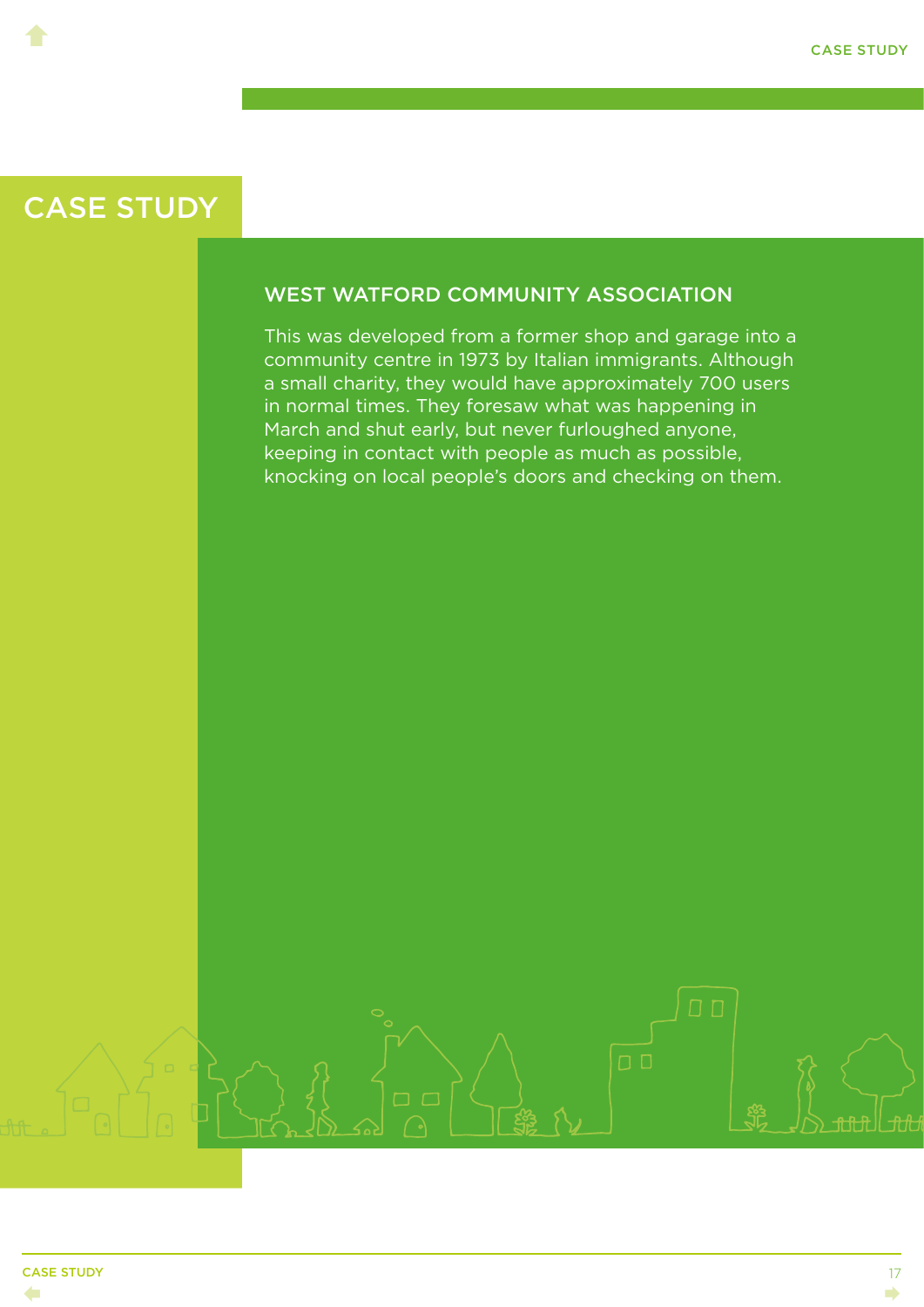<span id="page-20-0"></span> $\blacklozenge$ 

#### WEST WATFORD COMMUNITY ASSOCIATION

This was developed from a former shop and garage into a community centre in 1973 by Italian immigrants. Although a small charity, they would have approximately 700 users in normal times. They foresaw what was happening in March and shut early, but never furloughed anyone, keeping in contact with people as much as possible, knocking on local people's doors and checking on them.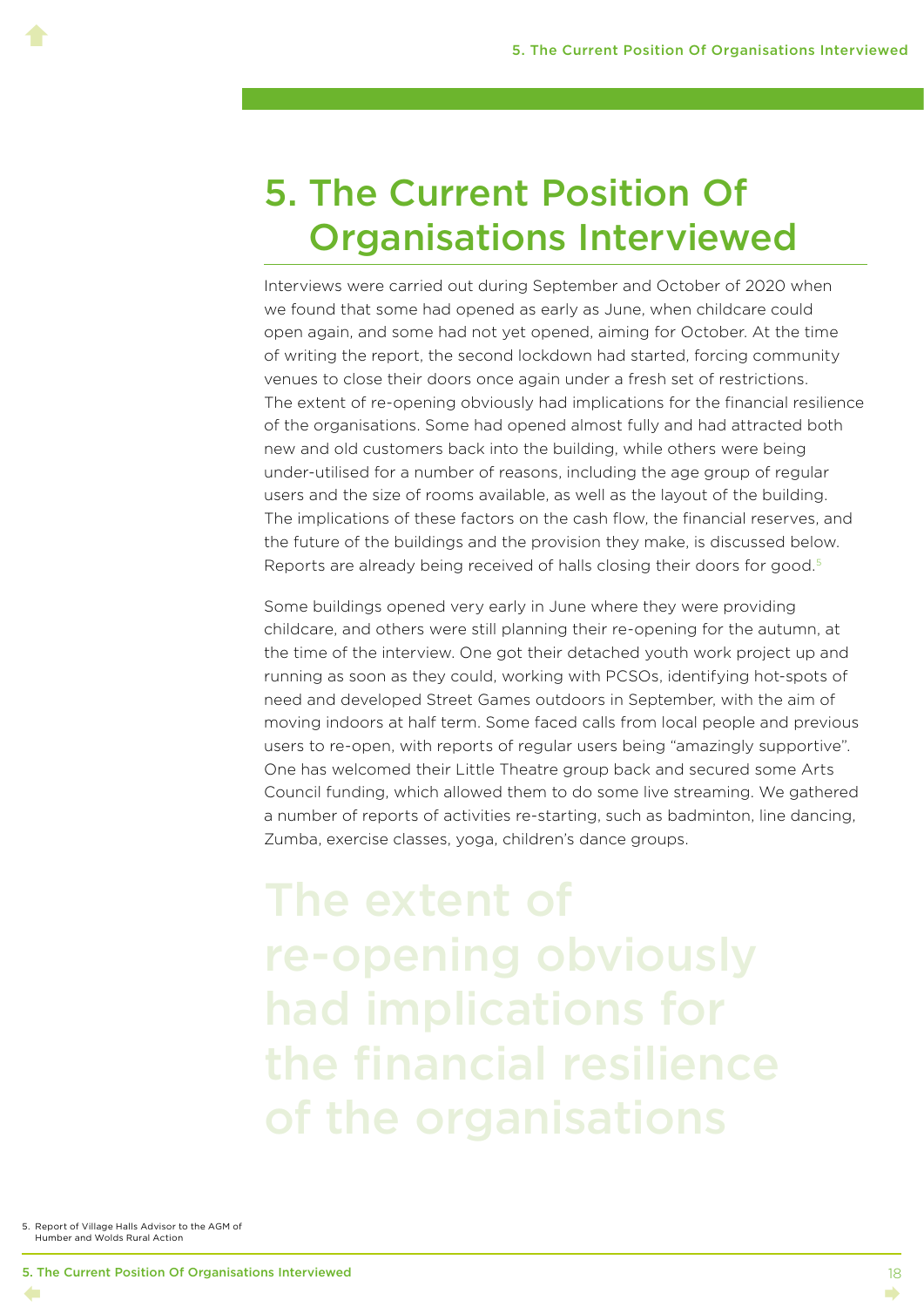### <span id="page-21-0"></span>5. The Current Position Of Organisations Interviewed

Interviews were carried out during September and October of 2020 when we found that some had opened as early as June, when childcare could open again, and some had not yet opened, aiming for October. At the time of writing the report, the second lockdown had started, forcing community venues to close their doors once again under a fresh set of restrictions. The extent of re-opening obviously had implications for the financial resilience of the organisations. Some had opened almost fully and had attracted both new and old customers back into the building, while others were being under-utilised for a number of reasons, including the age group of regular users and the size of rooms available, as well as the layout of the building. The implications of these factors on the cash flow, the financial reserves, and the future of the buildings and the provision they make, is discussed below. Reports are already being received of halls closing their doors for good.5

Some buildings opened very early in June where they were providing childcare, and others were still planning their re-opening for the autumn, at the time of the interview. One got their detached youth work project up and running as soon as they could, working with PCSOs, identifying hot-spots of need and developed Street Games outdoors in September, with the aim of moving indoors at half term. Some faced calls from local people and previous users to re-open, with reports of regular users being "amazingly supportive". One has welcomed their Little Theatre group back and secured some Arts Council funding, which allowed them to do some live streaming. We gathered a number of reports of activities re-starting, such as badminton, line dancing, Zumba, exercise classes, yoga, children's dance groups.

re-opening obviously had implications for the financial resilience of the organisations

5. Report of Village Halls Advisor to the AGM of Humber and Wolds Rural Action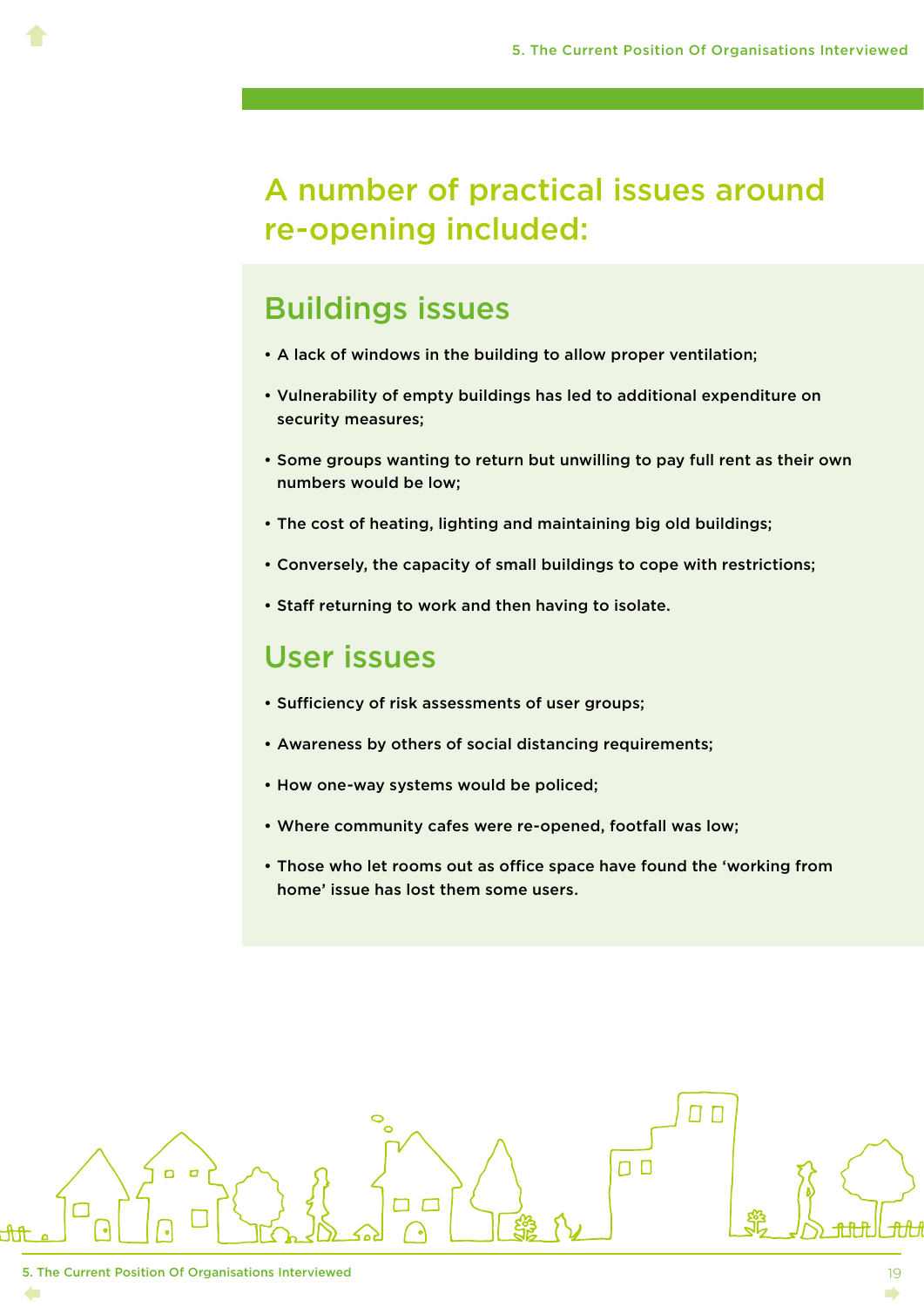#### A number of practical issues around re-opening included:

#### Buildings issues

- A lack of windows in the building to allow proper ventilation;
- Vulnerability of empty buildings has led to additional expenditure on security measures;
- Some groups wanting to return but unwilling to pay full rent as their own numbers would be low;
- The cost of heating, lighting and maintaining big old buildings;
- Conversely, the capacity of small buildings to cope with restrictions;
- Staff returning to work and then having to isolate.

#### User issues

- Sufficiency of risk assessments of user groups;
- Awareness by others of social distancing requirements;
- How one-way systems would be policed;
- Where community cafes were re-opened, footfall was low;
- Those who let rooms out as office space have found the 'working from home' issue has lost them some users.

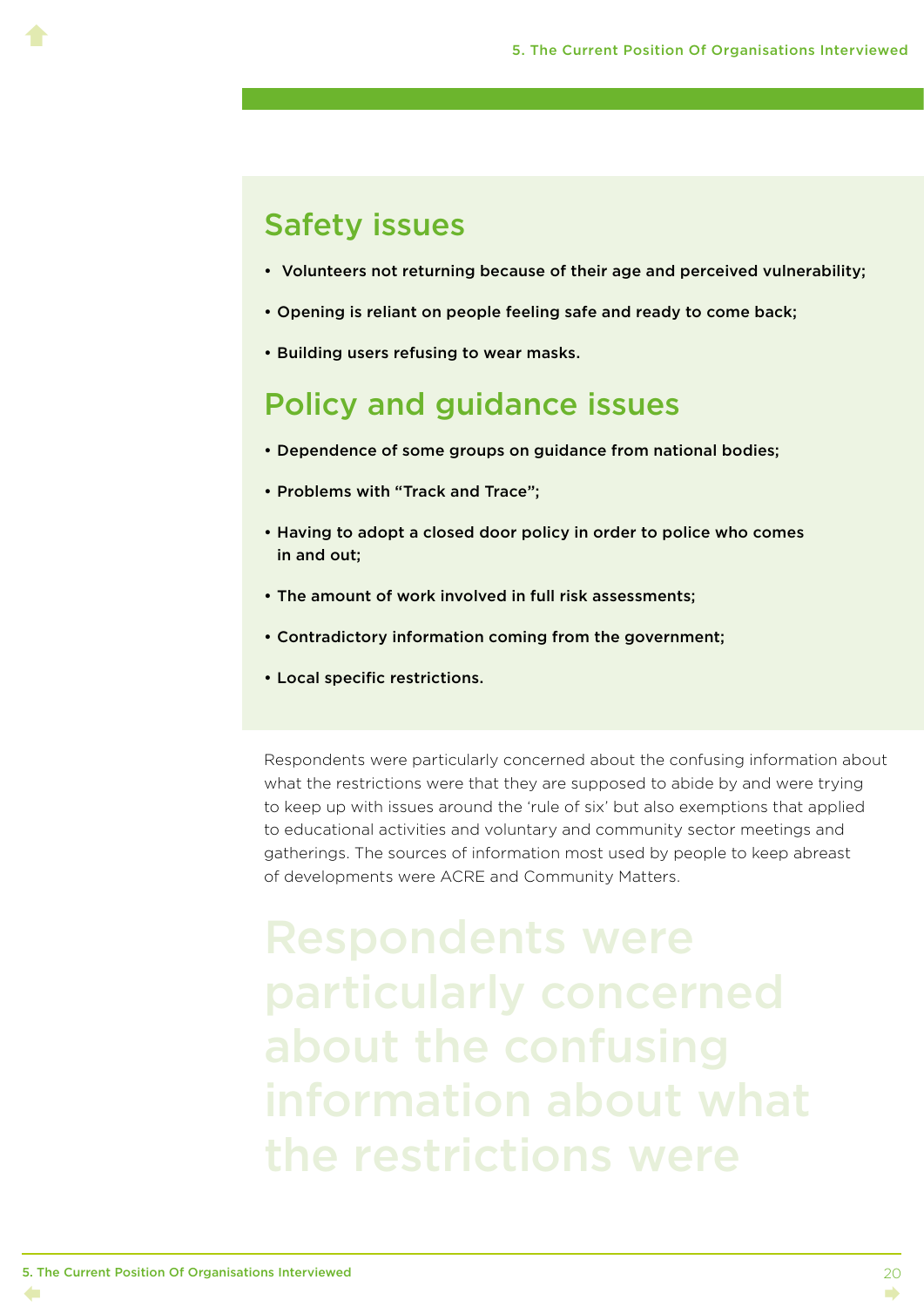#### Safety issues

 $\blacklozenge$ 

- Volunteers not returning because of their age and perceived vulnerability;
- Opening is reliant on people feeling safe and ready to come back;
- Building users refusing to wear masks.

#### Policy and guidance issues

- Dependence of some groups on guidance from national bodies;
- Problems with "Track and Trace";
- Having to adopt a closed door policy in order to police who comes in and out;
- The amount of work involved in full risk assessments;
- Contradictory information coming from the government;
- Local specific restrictions.

Respondents were particularly concerned about the confusing information about what the restrictions were that they are supposed to abide by and were trying to keep up with issues around the 'rule of six' but also exemptions that applied to educational activities and voluntary and community sector meetings and gatherings. The sources of information most used by people to keep abreast of developments were ACRE and Community Matters.

Respondents were particularly concerned about the confusing information about what the restrictions were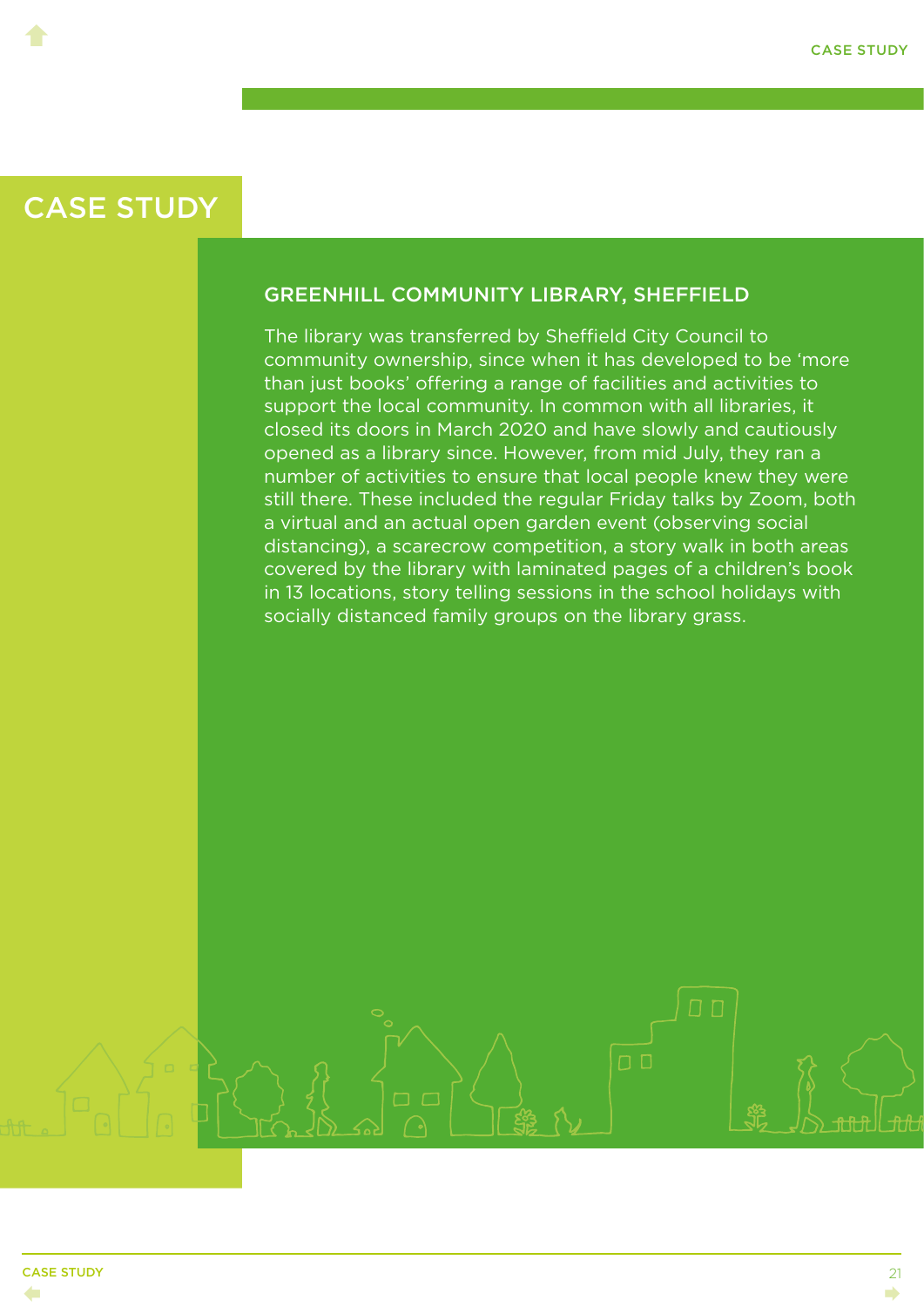<span id="page-24-0"></span> $\blacklozenge$ 

#### GREENHILL COMMUNITY LIBRARY, SHEFFIELD

The library was transferred by Sheffield City Council to community ownership, since when it has developed to be 'more than just books' offering a range of facilities and activities to support the local community. In common with all libraries, it closed its doors in March 2020 and have slowly and cautiously opened as a library since. However, from mid July, they ran a number of activities to ensure that local people knew they were still there. These included the regular Friday talks by Zoom, both a virtual and an actual open garden event (observing social distancing), a scarecrow competition, a story walk in both areas covered by the library with laminated pages of a children's book in 13 locations, story telling sessions in the school holidays with socially distanced family groups on the library grass.

 $\Box$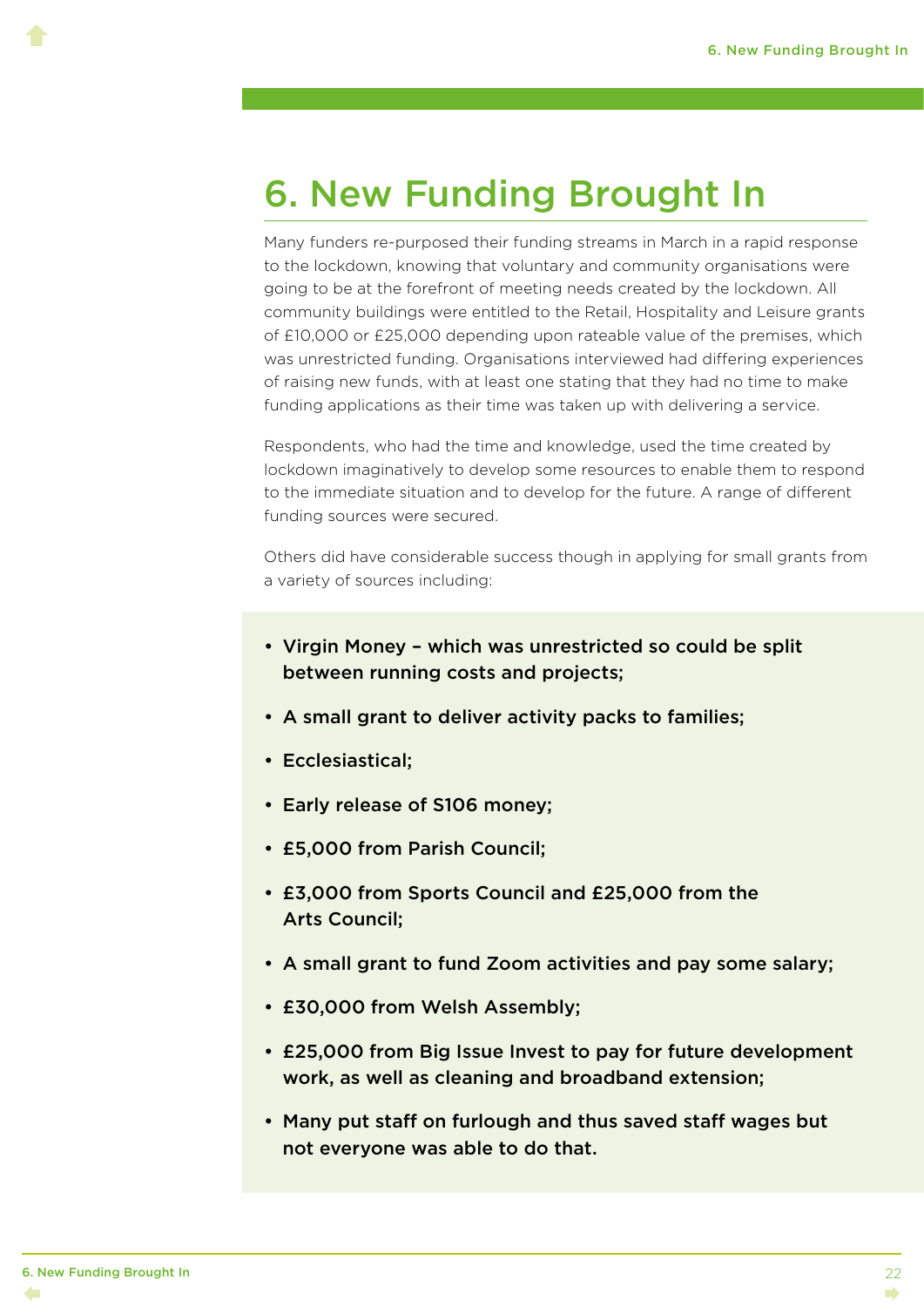### <span id="page-25-0"></span>6. New Funding Brought In

Many funders re-purposed their funding streams in March in a rapid response to the lockdown, knowing that voluntary and community organisations were going to be at the forefront of meeting needs created by the lockdown. All community buildings were entitled to the Retail, Hospitality and Leisure grants of £10,000 or £25,000 depending upon rateable value of the premises, which was unrestricted funding. Organisations interviewed had differing experiences of raising new funds, with at least one stating that they had no time to make funding applications as their time was taken up with delivering a service.

Respondents, who had the time and knowledge, used the time created by lockdown imaginatively to develop some resources to enable them to respond to the immediate situation and to develop for the future. A range of different funding sources were secured.

Others did have considerable success though in applying for small grants from a variety of sources including:

- Virgin Money which was unrestricted so could be split between running costs and projects;
- A small grant to deliver activity packs to families;
- Ecclesiastical;
- Early release of S106 money;
- £5,000 from Parish Council;
- £3,000 from Sports Council and £25,000 from the Arts Council;
- A small grant to fund Zoom activities and pay some salary;
- £30,000 from Welsh Assembly;
- £25,000 from Big Issue Invest to pay for future development work, as well as cleaning and broadband extension;
- Many put staff on furlough and thus saved staff wages but not everyone was able to do that.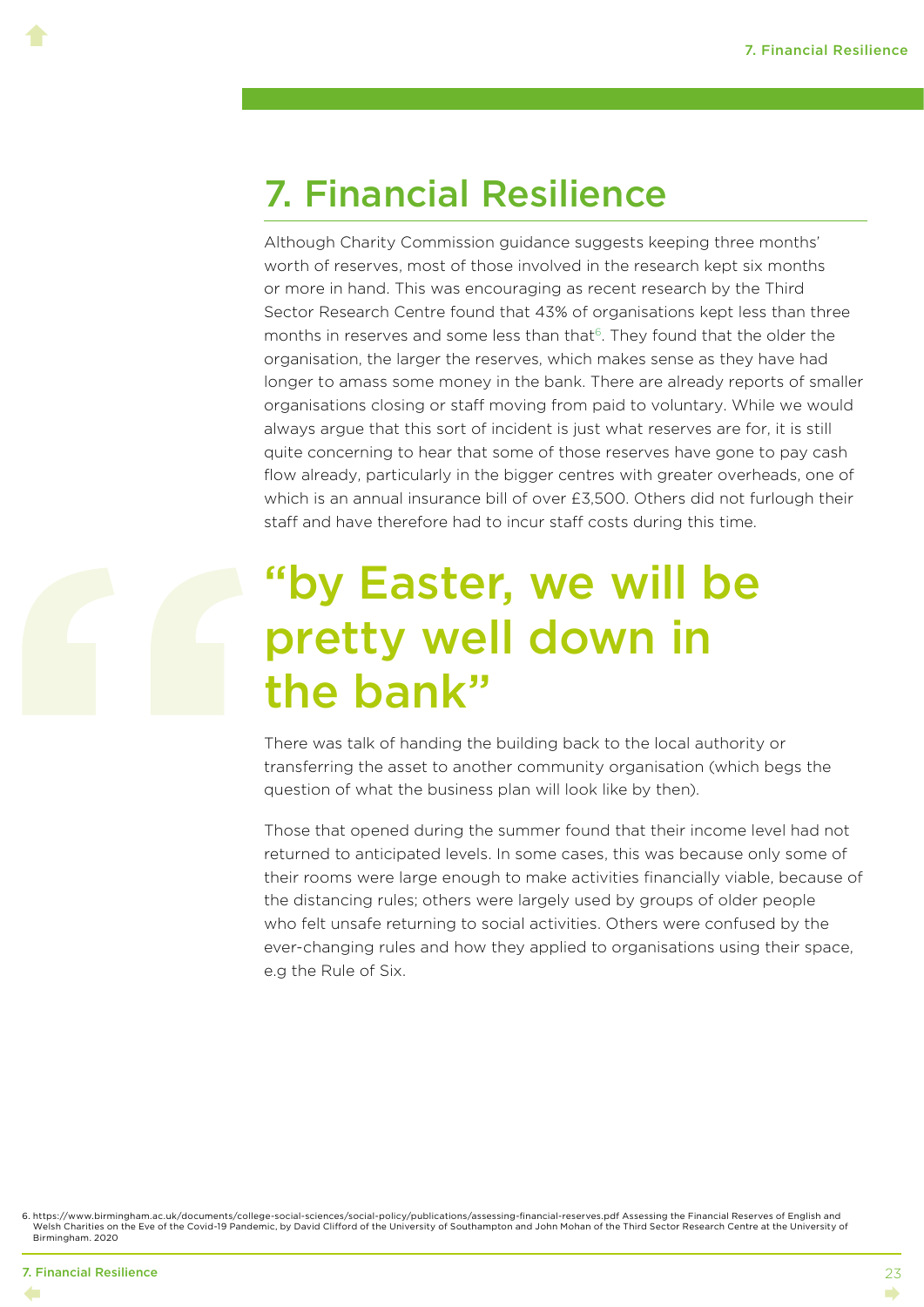### <span id="page-26-0"></span>7. Financial Resilience

Although Charity Commission guidance suggests keeping three months' worth of reserves, most of those involved in the research kept six months or more in hand. This was encouraging as recent research by the Third Sector Research Centre found that 43% of organisations kept less than three months in reserves and some less than that $6$ . They found that the older the organisation, the larger the reserves, which makes sense as they have had longer to amass some money in the bank. There are already reports of smaller organisations closing or staff moving from paid to voluntary. While we would always argue that this sort of incident is just what reserves are for, it is still quite concerning to hear that some of those reserves have gone to pay cash flow already, particularly in the bigger centres with greater overheads, one of which is an annual insurance bill of over £3,500. Others did not furlough their staff and have therefore had to incur staff costs during this time.

## "by Easter, we will be pretty well down in the bank"

There was talk of handing the building back to the local authority or transferring the asset to another community organisation (which begs the question of what the business plan will look like by then).

Those that opened during the summer found that their income level had not returned to anticipated levels. In some cases, this was because only some of their rooms were large enough to make activities financially viable, because of the distancing rules; others were largely used by groups of older people who felt unsafe returning to social activities. Others were confused by the ever-changing rules and how they applied to organisations using their space, e.g the Rule of Six.

6. [https://www.birmingham.ac.uk/documents/college-social-sciences/social-policy/publications/assessing-financial-reserves.pdf Assessing the Financial Reserves of English and](https://www.birmingham.ac.uk/documents/college-social-sciences/social-policy/publications/assessing-financial-reserves.pdf)  [Welsh Charities on the Eve of the Covid-19 Pandemic](https://www.birmingham.ac.uk/documents/college-social-sciences/social-policy/publications/assessing-financial-reserves.pdf), by David Clifford of the University of Southampton and John Mohan of the Third Sector Research Centre at the University of Birmingham. 2020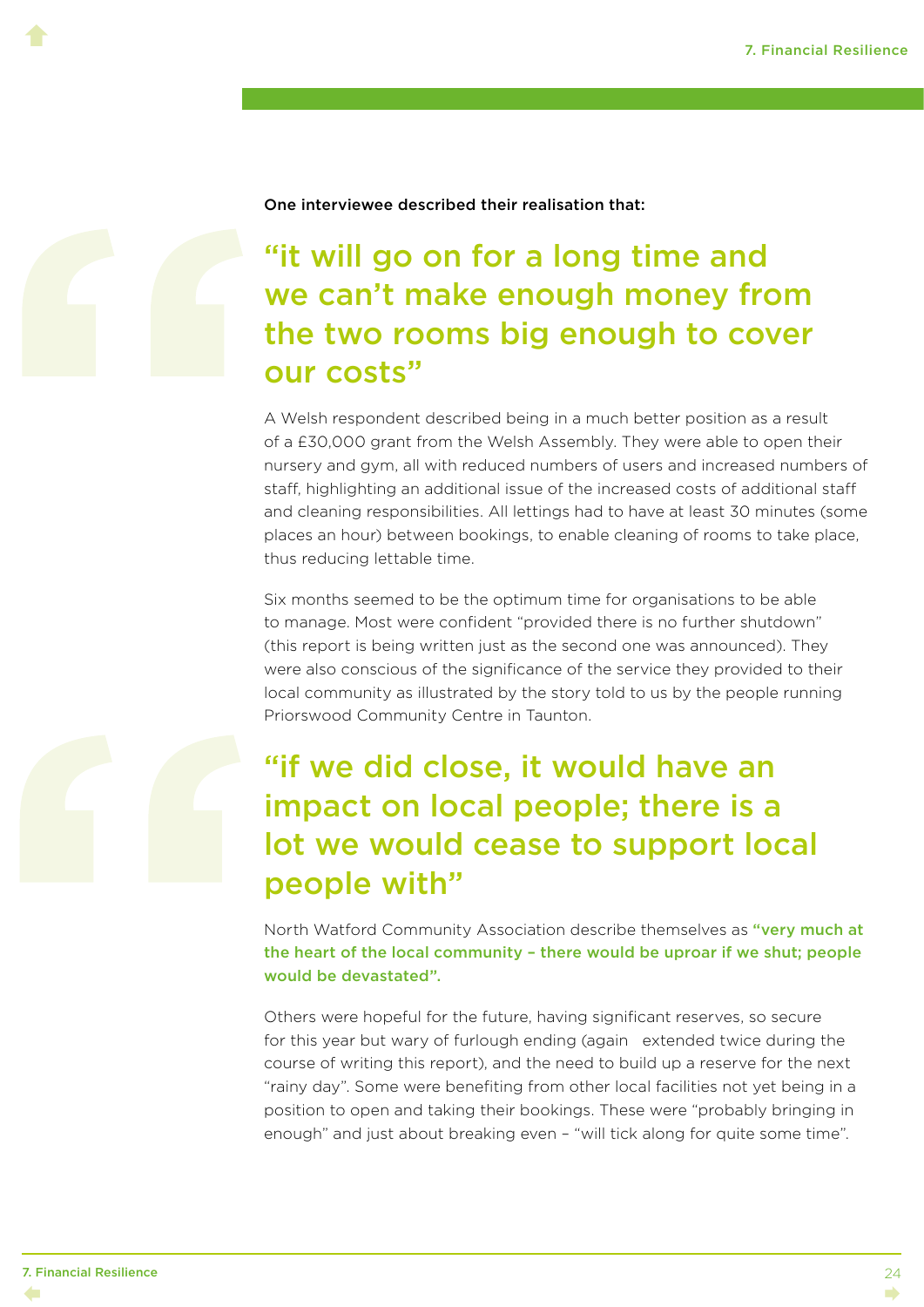$\blacklozenge$ 

One interviewee described their realisation that:

#### "it will go on for a long time and we can't make enough money from the two rooms big enough to cover our costs"

A Welsh respondent described being in a much better position as a result of a £30,000 grant from the Welsh Assembly. They were able to open their nursery and gym, all with reduced numbers of users and increased numbers of staff, highlighting an additional issue of the increased costs of additional staff and cleaning responsibilities. All lettings had to have at least 30 minutes (some places an hour) between bookings, to enable cleaning of rooms to take place, thus reducing lettable time.

Six months seemed to be the optimum time for organisations to be able to manage. Most were confident "provided there is no further shutdown" (this report is being written just as the second one was announced). They were also conscious of the significance of the service they provided to their local community as illustrated by the story told to us by the people running Priorswood Community Centre in Taunton.

#### "if we did close, it would have an impact on local people; there is a lot we would cease to support local people with"

North Watford Community Association describe themselves as "very much at the heart of the local community – there would be uproar if we shut; people would be devastated".

Others were hopeful for the future, having significant reserves, so secure for this year but wary of furlough ending (again extended twice during the course of writing this report), and the need to build up a reserve for the next "rainy day". Some were benefiting from other local facilities not yet being in a position to open and taking their bookings. These were "probably bringing in enough" and just about breaking even – "will tick along for quite some time".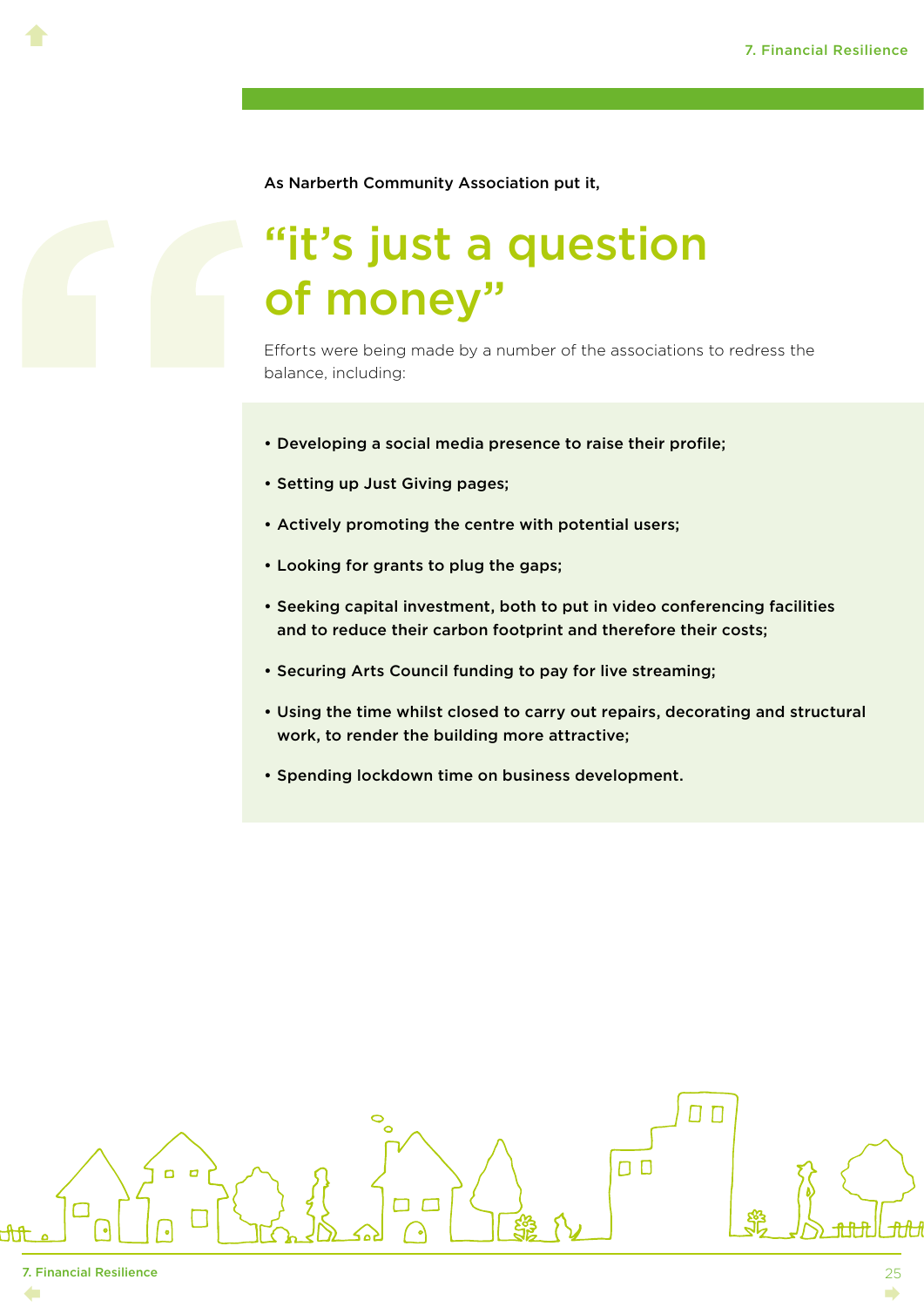As Narberth Community Association put it,

## "it's just a question of money"

Efforts were being made by a number of the associations to redress the balance, including:

- Developing a social media presence to raise their profile;
- Setting up Just Giving pages;
- Actively promoting the centre with potential users;
- Looking for grants to plug the gaps;
- Seeking capital investment, both to put in video conferencing facilities and to reduce their carbon footprint and therefore their costs;
- Securing Arts Council funding to pay for live streaming;
- Using the time whilst closed to carry out repairs, decorating and structural work, to render the building more attractive;
- Spending lockdown time on business development.

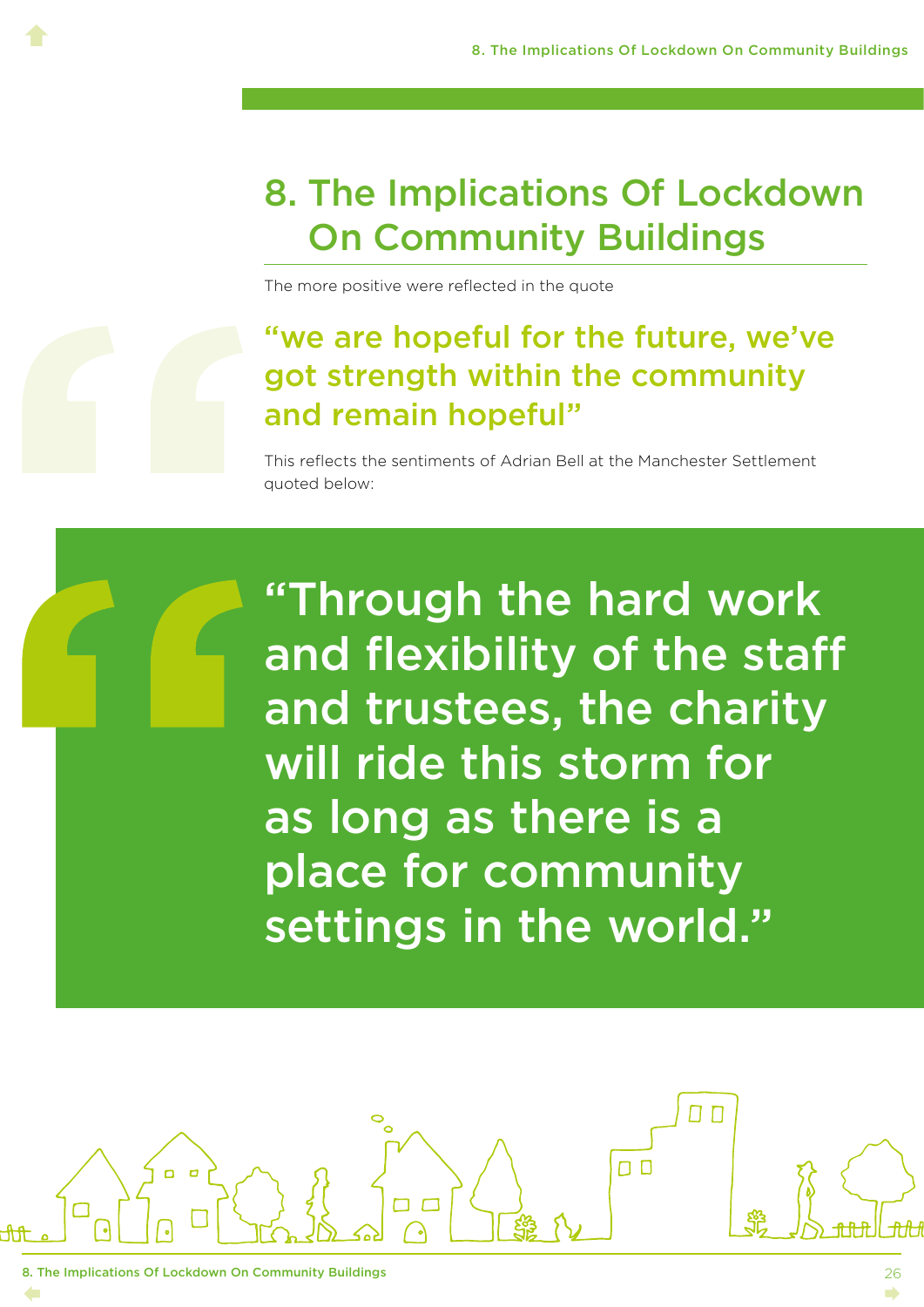## <span id="page-29-0"></span>8. The Implications Of Lockdown On Community Buildings

The more positive were reflected in the quote

#### "we are hopeful for the future, we've got strength within the community and remain hopeful"

This reflects the sentiments of Adrian Bell at the Manchester Settlement quoted below:

"Through the hard work and flexibility of the staff and trustees, the charity will ride this storm for as long as there is a place for community settings in the world."

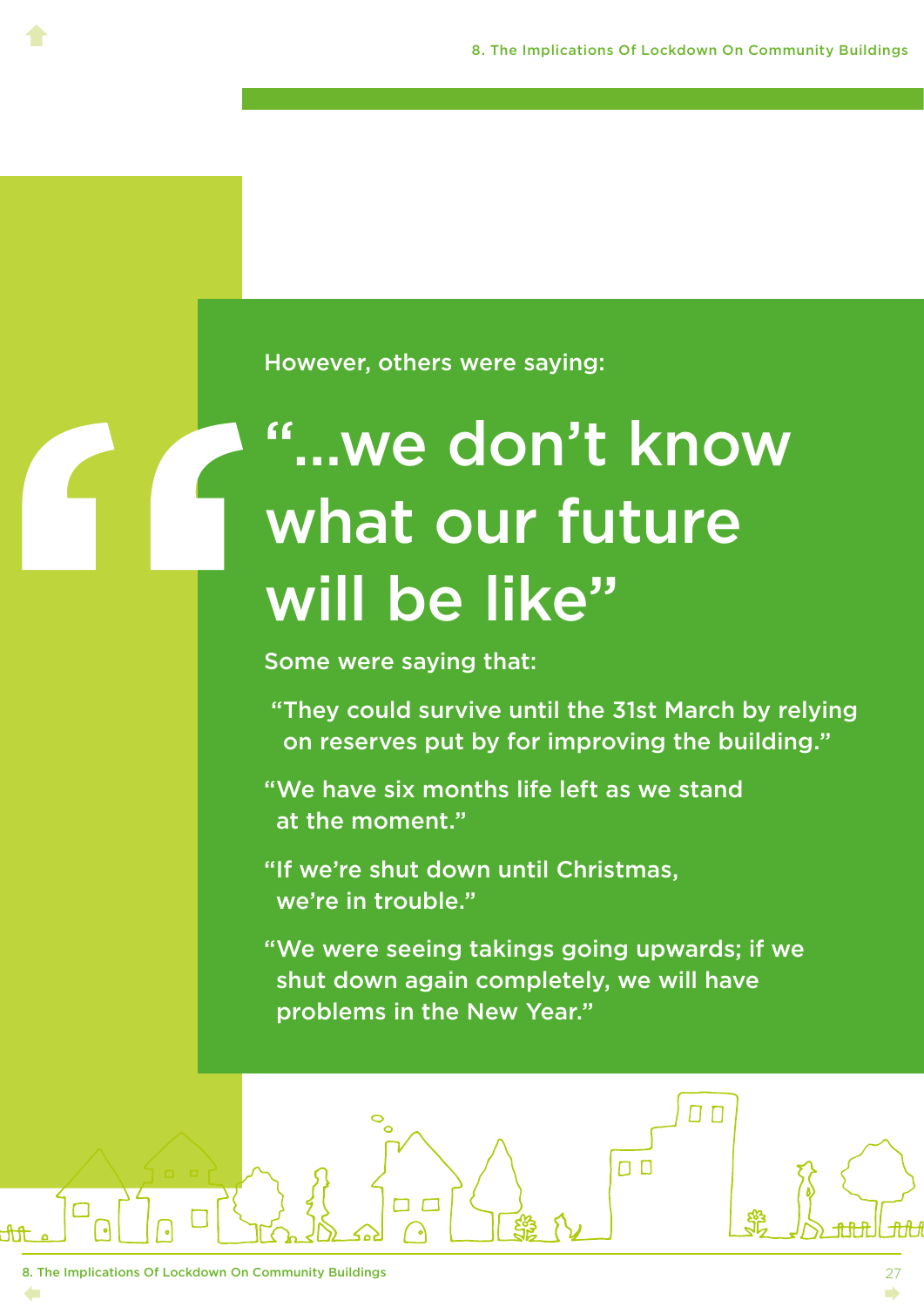However, others were saying:

# "…we don't know what our future will be like"

Some were saying that:

 "They could survive until the 31st March by relying on reserves put by for improving the building."

"We have six months life left as we stand at the moment."

"If we're shut down until Christmas, we're in trouble."

"We were seeing takings going upwards; if we shut down again completely, we will have problems in the New Year."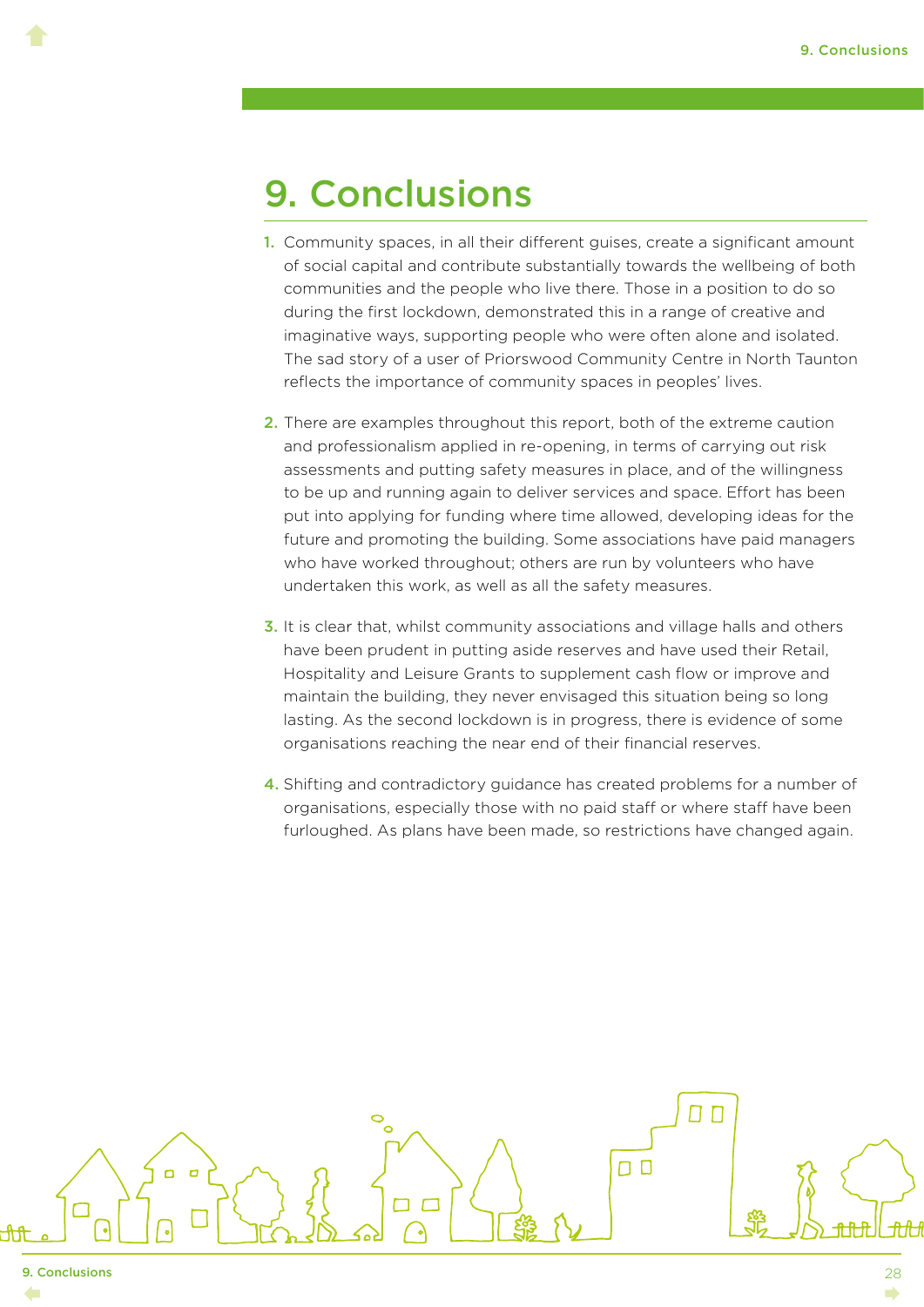### <span id="page-31-0"></span>9. Conclusions

- 1. Community spaces, in all their different guises, create a significant amount of social capital and contribute substantially towards the wellbeing of both communities and the people who live there. Those in a position to do so during the first lockdown, demonstrated this in a range of creative and imaginative ways, supporting people who were often alone and isolated. The sad story of a user of Priorswood Community Centre in North Taunton reflects the importance of community spaces in peoples' lives.
- 2. There are examples throughout this report, both of the extreme caution and professionalism applied in re-opening, in terms of carrying out risk assessments and putting safety measures in place, and of the willingness to be up and running again to deliver services and space. Effort has been put into applying for funding where time allowed, developing ideas for the future and promoting the building. Some associations have paid managers who have worked throughout; others are run by volunteers who have undertaken this work, as well as all the safety measures.
- 3. It is clear that, whilst community associations and village halls and others have been prudent in putting aside reserves and have used their Retail, Hospitality and Leisure Grants to supplement cash flow or improve and maintain the building, they never envisaged this situation being so long lasting. As the second lockdown is in progress, there is evidence of some organisations reaching the near end of their financial reserves.
- 4. Shifting and contradictory guidance has created problems for a number of organisations, especially those with no paid staff or where staff have been furloughed. As plans have been made, so restrictions have changed again.

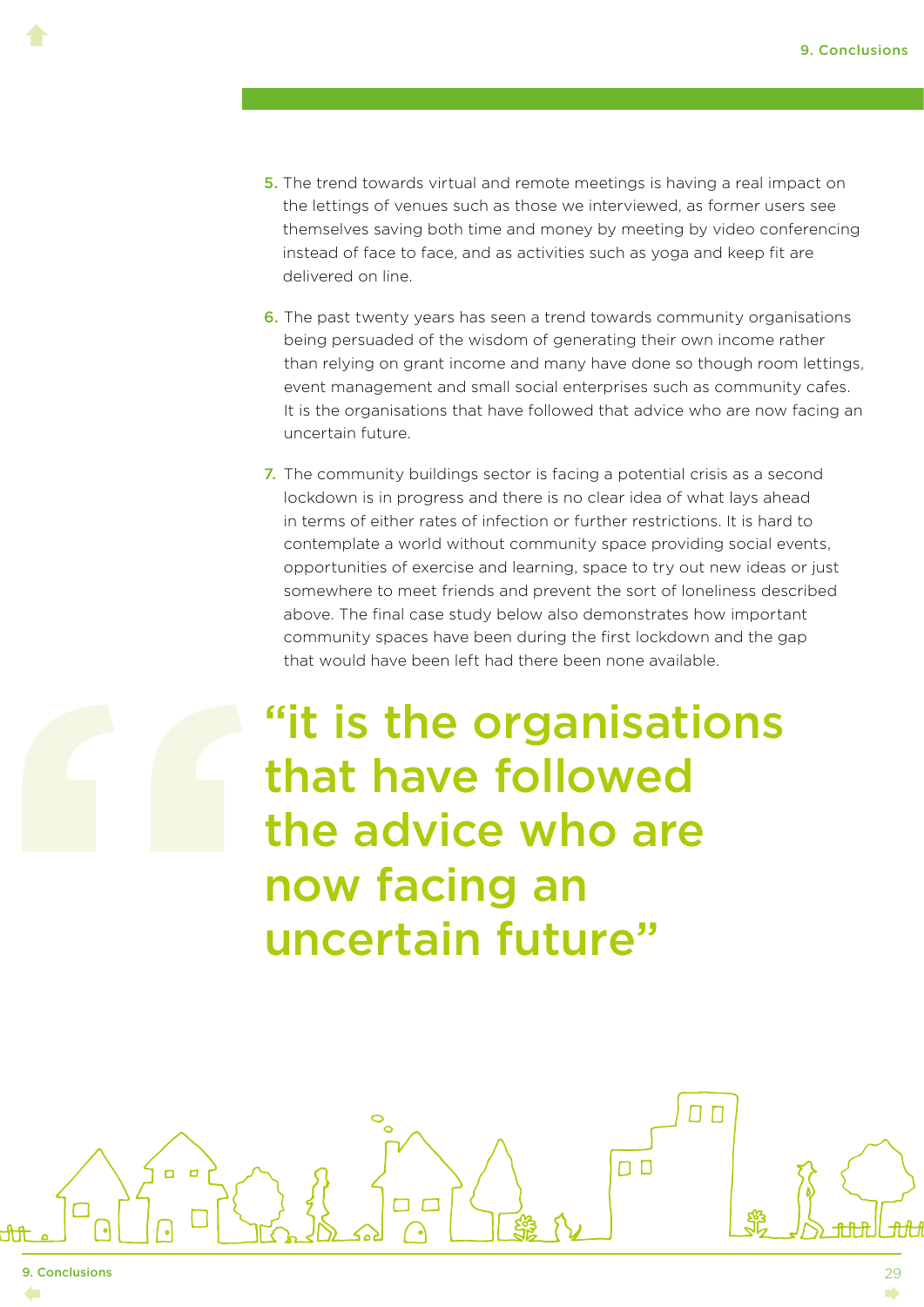- 5. The trend towards virtual and remote meetings is having a real impact on the lettings of venues such as those we interviewed, as former users see themselves saving both time and money by meeting by video conferencing instead of face to face, and as activities such as yoga and keep fit are delivered on line.
- 6. The past twenty years has seen a trend towards community organisations being persuaded of the wisdom of generating their own income rather than relying on grant income and many have done so though room lettings, event management and small social enterprises such as community cafes. It is the organisations that have followed that advice who are now facing an uncertain future.
- 7. The community buildings sector is facing a potential crisis as a second lockdown is in progress and there is no clear idea of what lays ahead in terms of either rates of infection or further restrictions. It is hard to contemplate a world without community space providing social events, opportunities of exercise and learning, space to try out new ideas or just somewhere to meet friends and prevent the sort of loneliness described above. The final case study below also demonstrates how important community spaces have been during the first lockdown and the gap that would have been left had there been none available.

"it is the organisations that have followed the advice who are now facing an uncertain future"

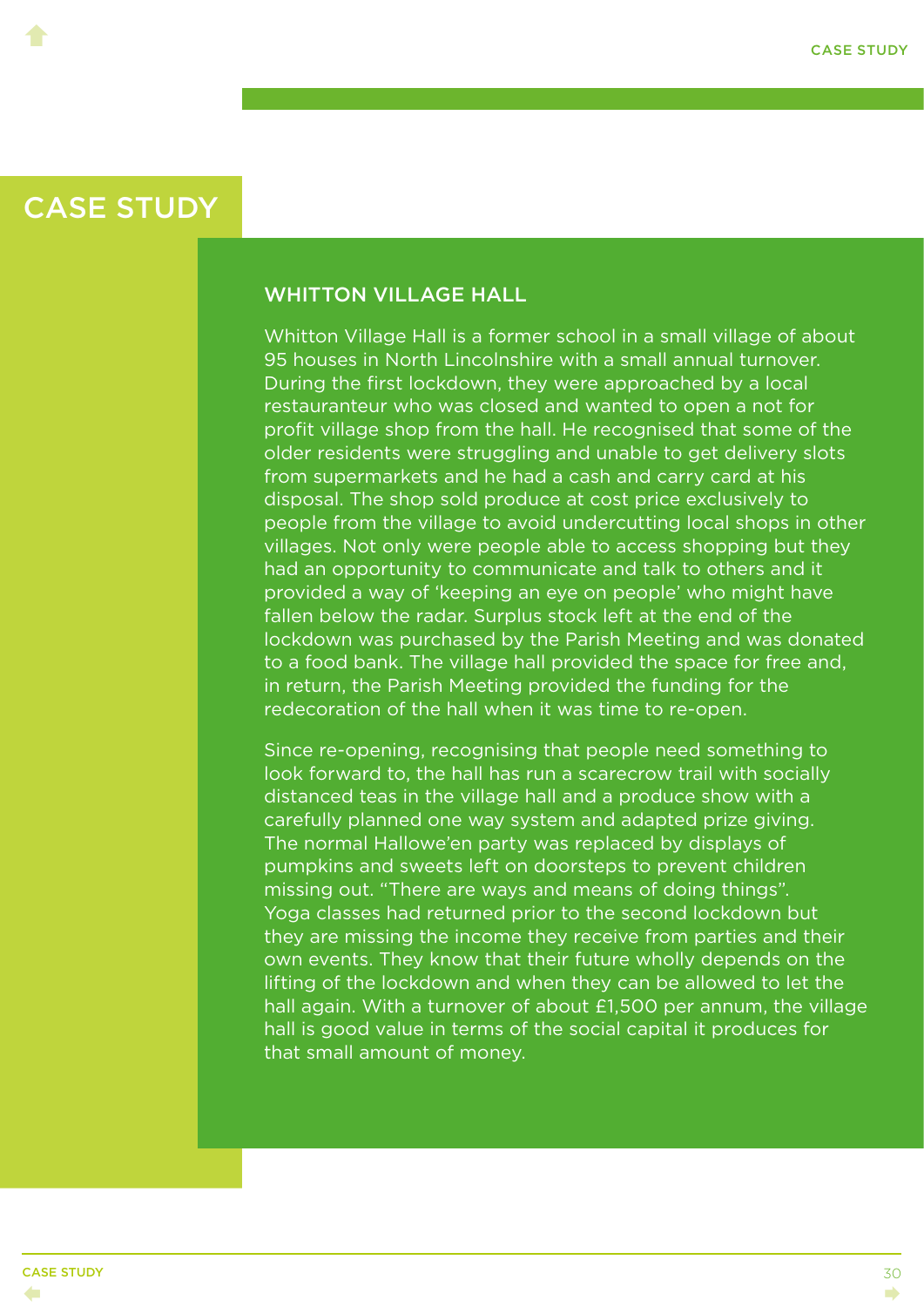<span id="page-33-0"></span> $\blacklozenge$ 

#### WHITTON VILLAGE HALL

Whitton Village Hall is a former school in a small village of about 95 houses in North Lincolnshire with a small annual turnover. During the first lockdown, they were approached by a local restauranteur who was closed and wanted to open a not for profit village shop from the hall. He recognised that some of the older residents were struggling and unable to get delivery slots from supermarkets and he had a cash and carry card at his disposal. The shop sold produce at cost price exclusively to people from the village to avoid undercutting local shops in other villages. Not only were people able to access shopping but they had an opportunity to communicate and talk to others and it provided a way of 'keeping an eye on people' who might have fallen below the radar. Surplus stock left at the end of the lockdown was purchased by the Parish Meeting and was donated to a food bank. The village hall provided the space for free and, in return, the Parish Meeting provided the funding for the redecoration of the hall when it was time to re-open.

Since re-opening, recognising that people need something to look forward to, the hall has run a scarecrow trail with socially distanced teas in the village hall and a produce show with a carefully planned one way system and adapted prize giving. The normal Hallowe'en party was replaced by displays of pumpkins and sweets left on doorsteps to prevent children missing out. "There are ways and means of doing things". Yoga classes had returned prior to the second lockdown but they are missing the income they receive from parties and their own events. They know that their future wholly depends on the lifting of the lockdown and when they can be allowed to let the hall again. With a turnover of about £1,500 per annum, the village hall is good value in terms of the social capital it produces for that small amount of money.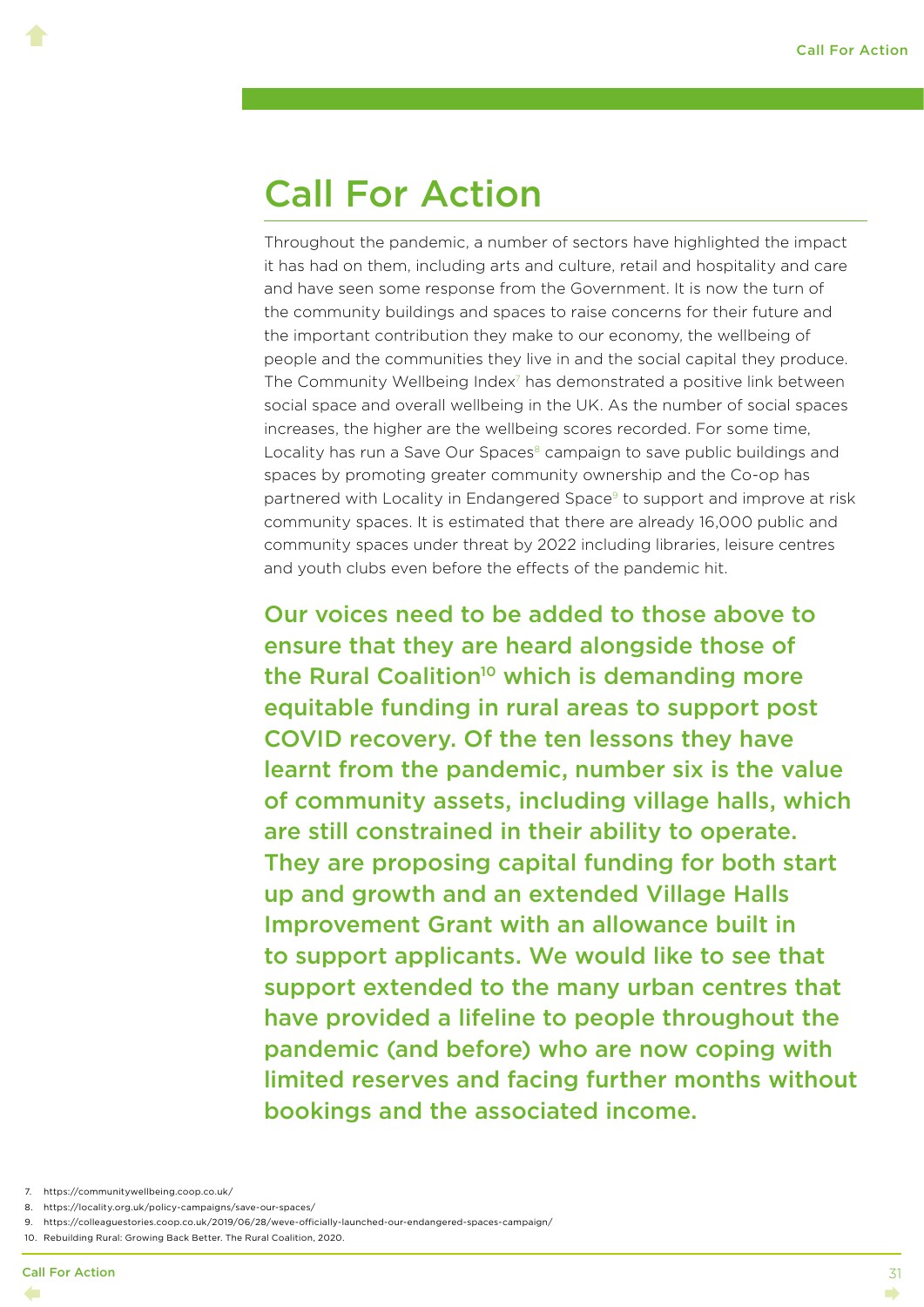### <span id="page-34-0"></span>Call For Action

Throughout the pandemic, a number of sectors have highlighted the impact it has had on them, including arts and culture, retail and hospitality and care and have seen some response from the Government. It is now the turn of the community buildings and spaces to raise concerns for their future and the important contribution they make to our economy, the wellbeing of people and the communities they live in and the social capital they produce. The Community Wellbeing Index<sup>7</sup> has demonstrated a positive link between social space and overall wellbeing in the UK. As the number of social spaces increases, the higher are the wellbeing scores recorded. For some time, Locality has run a Save Our Spaces<sup>8</sup> campaign to save public buildings and spaces by promoting greater community ownership and the Co-op has partnered with Locality in Endangered Space<sup>9</sup> to support and improve at risk community spaces. It is estimated that there are already 16,000 public and community spaces under threat by 2022 including libraries, leisure centres and youth clubs even before the effects of the pandemic hit.

Our voices need to be added to those above to ensure that they are heard alongside those of the Rural Coalition<sup>10</sup> which is demanding more equitable funding in rural areas to support post COVID recovery. Of the ten lessons they have learnt from the pandemic, number six is the value of community assets, including village halls, which are still constrained in their ability to operate. They are proposing capital funding for both start up and growth and an extended Village Halls Improvement Grant with an allowance built in to support applicants. We would like to see that support extended to the many urban centres that have provided a lifeline to people throughout the pandemic (and before) who are now coping with limited reserves and facing further months without bookings and the associated income.

- 7. https://communitywellbeing.coop.co.uk/
- 8. https://locality.org.uk/policy-campaigns/save-our-spaces/
- 9. https://colleaguestories.coop.co.uk/2019/06/28/weve-officially-launched-our-endangered-spaces-campaign/
- 10. Rebuilding Rural: Growing Back Better. The Rural Coalition, 2020.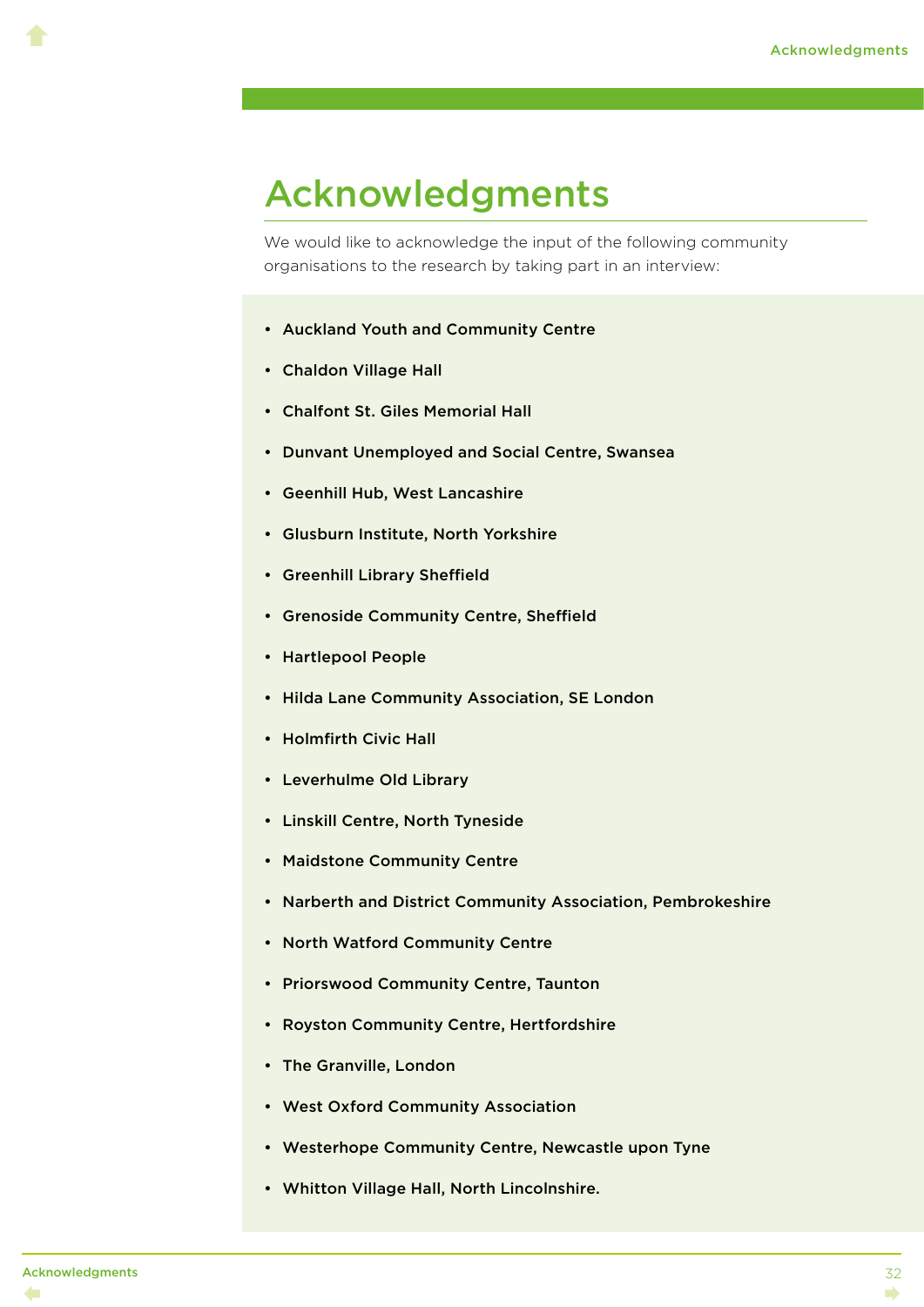### <span id="page-35-0"></span>Acknowledgments

We would like to acknowledge the input of the following community organisations to the research by taking part in an interview:

- Auckland Youth and Community Centre
- Chaldon Village Hall
- Chalfont St. Giles Memorial Hall
- Dunvant Unemployed and Social Centre, Swansea
- Geenhill Hub, West Lancashire
- Glusburn Institute, North Yorkshire
- Greenhill Library Sheffield
- Grenoside Community Centre, Sheffield
- Hartlepool People
- Hilda Lane Community Association, SE London
- Holmfirth Civic Hall
- Leverhulme Old Library
- Linskill Centre, North Tyneside
- Maidstone Community Centre
- Narberth and District Community Association, Pembrokeshire
- North Watford Community Centre
- Priorswood Community Centre, Taunton
- Royston Community Centre, Hertfordshire
- The Granville, London
- West Oxford Community Association
- Westerhope Community Centre, Newcastle upon Tyne
- Whitton Village Hall, North Lincolnshire.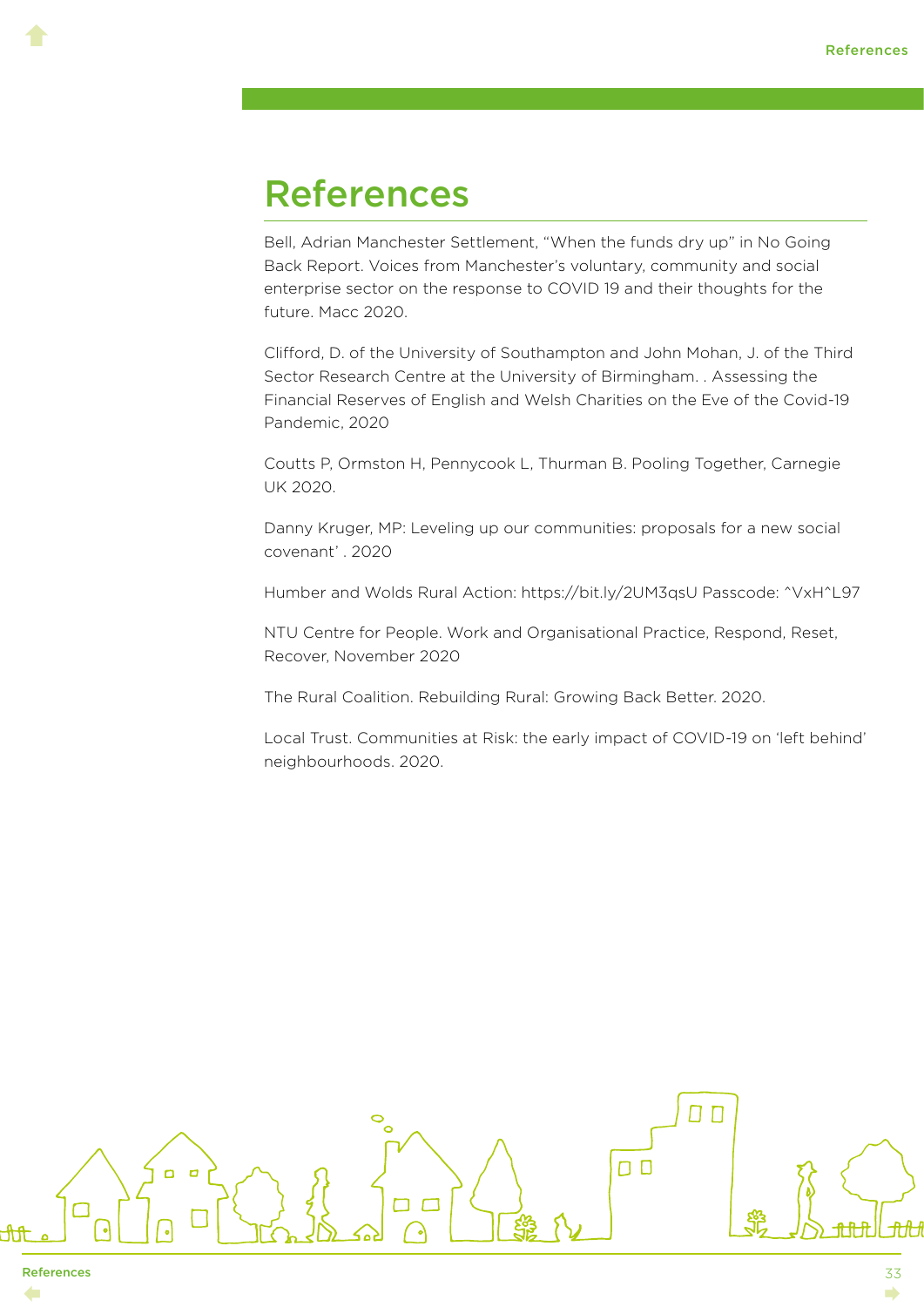#### <span id="page-36-0"></span>References

Bell, Adrian Manchester Settlement, "When the funds dry up" in No Going Back Report. Voices from Manchester's voluntary, community and social enterprise sector on the response to COVID 19 and their thoughts for the future. Macc 2020.

Clifford, D. of the University of Southampton and John Mohan, J. of the Third Sector Research Centre at the University of Birmingham. . Assessing the Financial Reserves of English and Welsh Charities on the Eve of the Covid-19 Pandemic, 2020

Coutts P, Ormston H, Pennycook L, Thurman B. Pooling Together, Carnegie UK 2020.

Danny Kruger, MP: Leveling up our communities: proposals for a new social covenant' . 2020

Humber and Wolds Rural Action: https://bit.ly/2UM3qsU Passcode: ^VxH^L97

NTU Centre for People. Work and Organisational Practice, Respond, Reset, Recover, November 2020

The Rural Coalition. Rebuilding Rural: Growing Back Better. 2020.

Local Trust. Communities at Risk: the early impact of COVID-19 on 'left behind' neighbourhoods. 2020.